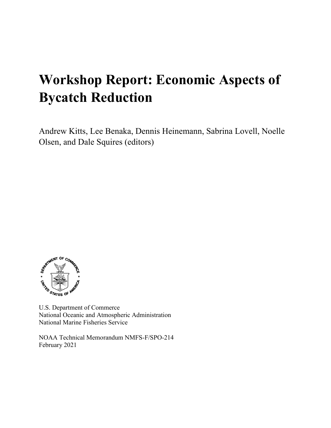# **Workshop Report: Economic Aspects of Bycatch Reduction**

Andrew Kitts, Lee Benaka, Dennis Heinemann, Sabrina Lovell, Noelle Olsen, and Dale Squires (editors)



U.S. Department of Commerce National Oceanic and Atmospheric Administration National Marine Fisheries Service

NOAA Technical Memorandum NMFS-F/SPO-214 February 2021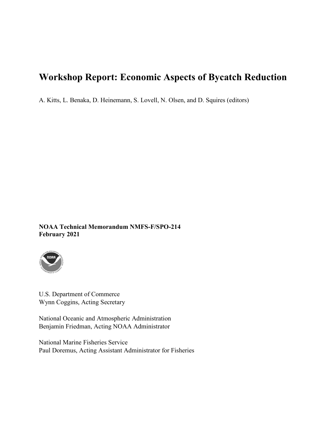# **Workshop Report: Economic Aspects of Bycatch Reduction**

A. Kitts, L. Benaka, D. Heinemann, S. Lovell, N. Olsen, and D. Squires (editors)

**NOAA Technical Memorandum NMFS-F/SPO-214 February 2021**



U.S. Department of Commerce Wynn Coggins, Acting Secretary

National Oceanic and Atmospheric Administration Benjamin Friedman, Acting NOAA Administrator

National Marine Fisheries Service Paul Doremus, Acting Assistant Administrator for Fisheries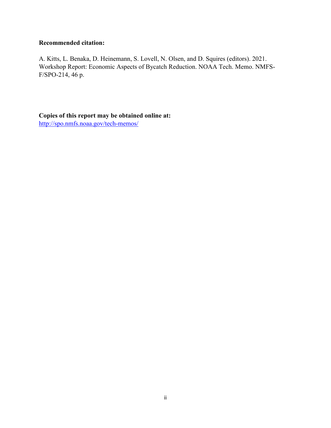#### **Recommended citation:**

A. Kitts, L. Benaka, D. Heinemann, S. Lovell, N. Olsen, and D. Squires (editors). 2021. Workshop Report: Economic Aspects of Bycatch Reduction. NOAA Tech. Memo. NMFS-F/SPO-214, 46 p.

**Copies of this report may be obtained online at:** <http://spo.nmfs.noaa.gov/tech-memos/>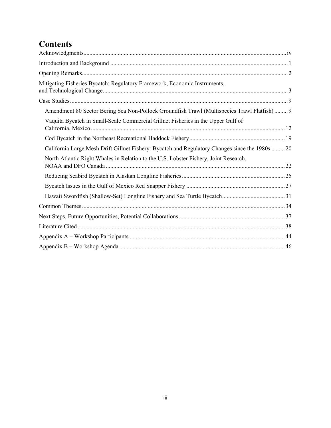# **Contents**

<span id="page-4-0"></span>

| Mitigating Fisheries Bycatch: Regulatory Framework, Economic Instruments,                       |
|-------------------------------------------------------------------------------------------------|
|                                                                                                 |
| Amendment 80 Sector Bering Sea Non-Pollock Groundfish Trawl (Multispecies Trawl Flatfish) 9     |
| Vaquita Bycatch in Small-Scale Commercial Gillnet Fisheries in the Upper Gulf of                |
|                                                                                                 |
| California Large Mesh Drift Gillnet Fishery: Bycatch and Regulatory Changes since the 1980s  20 |
| North Atlantic Right Whales in Relation to the U.S. Lobster Fishery, Joint Research,            |
|                                                                                                 |
|                                                                                                 |
|                                                                                                 |
|                                                                                                 |
|                                                                                                 |
|                                                                                                 |
|                                                                                                 |
|                                                                                                 |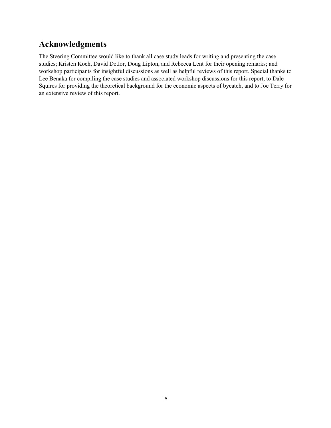## **Acknowledgments**

The Steering Committee would like to thank all case study leads for writing and presenting the case studies; Kristen Koch, David Detlor, Doug Lipton, and Rebecca Lent for their opening remarks; and workshop participants for insightful discussions as well as helpful reviews of this report. Special thanks to Lee Benaka for compiling the case studies and associated workshop discussions for this report, to Dale Squires for providing the theoretical background for the economic aspects of bycatch, and to Joe Terry for an extensive review of this report.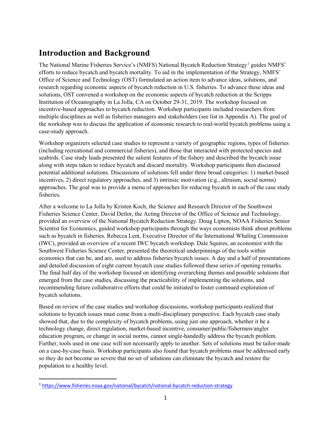# <span id="page-6-0"></span>**Introduction and Background**

The National Marine Fisheries Service's (NMFS) National Bycatch Reduction Strategy<sup>[1](#page-6-1)</sup> guides NMFS' efforts to reduce bycatch and bycatch mortality. To aid in the implementation of the Strategy, NMFS' Office of Science and Technology (OST) formulated an action item to advance ideas, solutions, and research regarding economic aspects of bycatch reduction in U.S. fisheries. To advance these ideas and solutions, OST convened a workshop on the economic aspects of bycatch reduction at the Scripps Institution of Oceanography in La Jolla, CA on October 29-31, 2019. The workshop focused on incentive-based approaches to bycatch reduction. Workshop participants included researchers from multiple disciplines as well as fisheries managers and stakeholders (see list in Appendix A). The goal of the workshop was to discuss the application of economic research to real-world bycatch problems using a case-study approach.

Workshop organizers selected case studies to represent a variety of geographic regions, types of fisheries (including recreational and commercial fisheries), and those that interacted with protected species and seabirds. Case study leads presented the salient features of the fishery and described the bycatch issue along with steps taken to reduce bycatch and discard mortality. Workshop participants then discussed potential additional solutions. Discussions of solutions fell under three broad categories: 1) market-based incentives, 2) direct regulatory approaches, and 3) intrinsic motivation (e.g., altruism, social norms) approaches. The goal was to provide a menu of approaches for reducing bycatch in each of the case study fisheries.

After a welcome to La Jolla by Kristen Koch, the Science and Research Director of the Southwest Fisheries Science Center, David Detlor, the Acting Director of the Office of Science and Technology, provided an overview of the National Bycatch Reduction Strategy. Doug Lipton, NOAA Fisheries Senior Scientist for Economics, guided workshop participants through the ways economists think about problems such as bycatch in fisheries. Rebecca Lent, Executive Director of the International Whaling Commission (IWC), provided an overview of a recent IWC bycatch workshop. Dale Squires, an economist with the Southwest Fisheries Science Center, presented the theoretical underpinnings of the tools within economics that can be, and are, used to address fisheries bycatch issues. A day and a half of presentations and detailed discussion of eight current bycatch case studies followed these series of opening remarks. The final half day of the workshop focused on identifying overarching themes and possible solutions that emerged from the case studies, discussing the practicability of implementing the solutions, and recommending future collaborative efforts that could be initiated to foster continued exploration of bycatch solutions.

Based on review of the case studies and workshop discussions, workshop participants realized that solutions to bycatch issues must come from a multi-disciplinary perspective. Each bycatch case study showed that, due to the complexity of bycatch problems, using just one approach, whether it be a technology change, direct regulation, market-based incentive, consumer/public/fishermen/angler education program, or change in social norms, cannot single-handedly address the bycatch problem. Further, tools used in one case will not necessarily apply to another. Sets of solutions must be tailor-made on a case-by-case basis. Workshop participants also found that bycatch problems must be addressed early so they do not become so severe that no set of solutions can eliminate the bycatch and restore the population to a healthy level.

<span id="page-6-1"></span> <sup>1</sup> <https://www.fisheries.noaa.gov/national/bycatch/national-bycatch-reduction-strategy>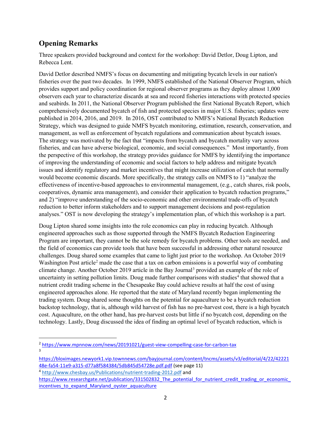### <span id="page-7-0"></span>**Opening Remarks**

Three speakers provided background and context for the workshop: David Detlor, Doug Lipton, and Rebecca Lent.

David Detlor described NMFS's focus on documenting and mitigating bycatch levels in our nation's fisheries over the past two decades. In 1999, NMFS established of the National Observer Program, which provides support and policy coordination for regional observer programs as they deploy almost 1,000 observers each year to characterize discards at sea and record fisheries interactions with protected species and seabirds. In 2011, the National Observer Program published the first National Bycatch Report, which comprehensively documented bycatch of fish and protected species in major U.S. fisheries; updates were published in 2014, 2016, and 2019. In 2016, OST contributed to NMFS's National Bycatch Reduction Strategy, which was designed to guide NMFS bycatch monitoring, estimation, research, conservation, and management, as well as enforcement of bycatch regulations and communication about bycatch issues. The strategy was motivated by the fact that "impacts from bycatch and bycatch mortality vary across fisheries, and can have adverse biological, economic, and social consequences." Most importantly, from the perspective of this workshop, the strategy provides guidance for NMFS by identifying the importance of improving the understanding of economic and social factors to help address and mitigate bycatch issues and identify regulatory and market incentives that might increase utilization of catch that normally would become economic discards. More specifically, the strategy calls on NMFS to 1) "analyze the effectiveness of incentive-based approaches to environmental management, (e.g., catch shares, risk pools, cooperatives, dynamic area management), and consider their application to bycatch reduction programs," and 2) "improve understanding of the socio-economic and other environmental trade-offs of bycatch reduction to better inform stakeholders and to support management decisions and post-regulation analyses." OST is now developing the strategy's implementation plan, of which this workshop is a part.

Doug Lipton shared some insights into the role economics can play in reducing bycatch. Although engineered approaches such as those supported through the NMFS Bycatch Reduction Engineering Program are important, they cannot be the sole remedy for bycatch problems. Other tools are needed, and the field of economics can provide tools that have been successful in addressing other natural resource challenges. Doug shared some examples that came to light just prior to the workshop. An October 2019 Washington Post article<sup>[2](#page-7-1)</sup> made the case that a tax on carbon emissions is a powerful way of combating climate change. Another October 2019 article in the Bay Journal<sup>[3](#page-7-2)</sup> provided an example of the role of uncertainty in setting pollution limits. Doug made further comparisons with studies<sup>[4](#page-7-3)</sup> that showed that a nutrient credit trading scheme in the Chesapeake Bay could achieve results at half the cost of using engineered approaches alone. He reported that the state of Maryland recently began implementing the trading system. Doug shared some thoughts on the potential for aquaculture to be a bycatch reduction backstop technology, that is, although wild harvest of fish has no pre-harvest cost, there is a high bycatch cost. Aquaculture, on the other hand, has pre-harvest costs but little if no bycatch cost, depending on the technology. Lastly, Doug discussed the idea of finding an optimal level of bycatch reduction, which is

<span id="page-7-1"></span> <sup>2</sup> <https://www.mpnnow.com/news/20191021/guest-view-compelling-case-for-carbon-tax> 3

<span id="page-7-2"></span>[https://bloximages.newyork1.vip.townnews.com/bayjournal.com/content/tncms/assets/v3/editorial/4/22/42221](https://bloximages.newyork1.vip.townnews.com/bayjournal.com/content/tncms/assets/v3/editorial/4/22/4222148e-fa54-11e9-a315-d77a8f584384/5db845d54728e.pdf.pdf) [48e-fa54-11e9-a315-d77a8f584384/5db845d54728e.pdf.pdf](https://bloximages.newyork1.vip.townnews.com/bayjournal.com/content/tncms/assets/v3/editorial/4/22/4222148e-fa54-11e9-a315-d77a8f584384/5db845d54728e.pdf.pdf) (see page 11)

<span id="page-7-3"></span><sup>4</sup> <http://www.chesbay.us/Publications/nutrient-trading-2012.pdf> and

[https://www.researchgate.net/publication/331502832\\_The\\_potential\\_for\\_nutrient\\_credit\\_trading\\_or\\_economic\\_](https://www.researchgate.net/publication/331502832_The_potential_for_nutrient_credit_trading_or_economic_incentives_to_expand_Maryland_oyster_aquaculture) incentives to expand Maryland oyster aquaculture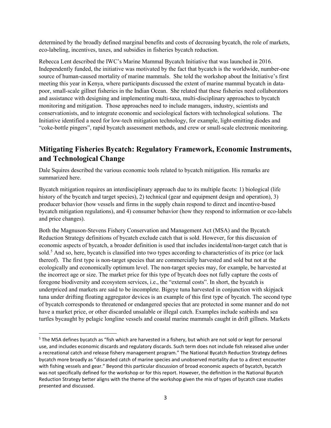determined by the broadly defined marginal benefits and costs of decreasing bycatch, the role of markets, eco-labeling, incentives, taxes, and subsidies in fisheries bycatch reduction.

Rebecca Lent described the IWC's Marine Mammal Bycatch Initiative that was launched in 2016. Independently funded, the initiative was motivated by the fact that bycatch is the worldwide, number-one source of human-caused mortality of marine mammals. She told the workshop about the Initiative's first meeting this year in Kenya, where participants discussed the extent of marine mammal bycatch in datapoor, small-scale gillnet fisheries in the Indian Ocean. She related that these fisheries need collaborators and assistance with designing and implementing multi-taxa, multi-disciplinary approaches to bycatch monitoring and mitigation. Those approaches need to include managers, industry, scientists and conservationists, and to integrate economic and sociological factors with technological solutions. The Initiative identified a need for low-tech mitigation technology, for example, light-emitting diodes and "coke-bottle pingers", rapid bycatch assessment methods, and crew or small-scale electronic monitoring.

### <span id="page-8-0"></span>**Mitigating Fisheries Bycatch: Regulatory Framework, Economic Instruments, and Technological Change**

Dale Squires described the various economic tools related to bycatch mitigation. His remarks are summarized here.

Bycatch mitigation requires an interdisciplinary approach due to its multiple facets: 1) biological (life history of the bycatch and target species), 2) technical (gear and equipment design and operation), 3) producer behavior (how vessels and firms in the supply chain respond to direct and incentive-based bycatch mitigation regulations), and 4) consumer behavior (how they respond to information or eco-labels and price changes).

Both the Magnuson-Stevens Fishery Conservation and Management Act (MSA) and the Bycatch Reduction Strategy definitions of bycatch exclude catch that is sold. However, for this discussion of economic aspects of bycatch, a broader definition is used that includes incidental/non-target catch that is sold.<sup>[5](#page-8-1)</sup> And so, here, bycatch is classified into two types according to characteristics of its price (or lack thereof). The first type is non-target species that are commercially harvested and sold but not at the ecologically and economically optimum level. The non-target species may, for example, be harvested at the incorrect age or size. The market price for this type of bycatch does not fully capture the costs of foregone biodiversity and ecosystem services, i.e., the "external costs". In short, the bycatch is underpriced and markets are said to be incomplete. Bigeye tuna harvested in conjunction with skipjack tuna under drifting floating aggregator devices is an example of this first type of bycatch. The second type of bycatch corresponds to threatened or endangered species that are protected in some manner and do not have a market price, or other discarded unsalable or illegal catch. Examples include seabirds and sea turtles bycaught by pelagic longline vessels and coastal marine mammals caught in drift gillnets. Markets

<span id="page-8-1"></span><sup>&</sup>lt;sup>5</sup> The MSA defines bycatch as "fish which are harvested in a fishery, but which are not sold or kept for personal use, and includes economic discards and regulatory discards. Such term does not include fish released alive under a recreational catch and release fishery management program." The National Bycatch Reduction Strategy defines bycatch more broadly as "discarded catch of marine species and unobserved mortality due to a direct encounter with fishing vessels and gear." Beyond this particular discussion of broad economic aspects of bycatch, bycatch was not specifically defined for the workshop or for this report. However, the definition in the National Bycatch Reduction Strategy better aligns with the theme of the workshop given the mix of types of bycatch case studies presented and discussed.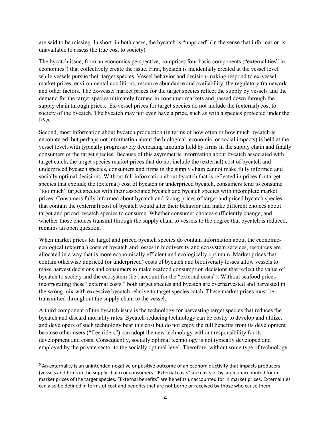are said to be missing. In short, in both cases, the bycatch is "unpriced" (in the sense that information is unavailable to assess the true cost to society).

The bycatch issue, from an economics perspective, comprises four basic components ("externalities" in economics<sup>[6](#page-9-0)</sup>) that collectively create the issue. First, bycatch is incidentally created at the vessel level while vessels pursue their target species. Vessel behavior and decision-making respond to ex-vessel market prices, environmental conditions, resource abundance and availability, the regulatory framework, and other factors. The ex-vessel market prices for the target species reflect the supply by vessels and the demand for the target species ultimately formed in consumer markets and passed down through the supply chain through prices. Ex-vessel prices for target species do not include the (external) cost to society of the bycatch. The bycatch may not even have a price, such as with a species protected under the ESA.

Second, most information about bycatch production (in terms of how often or how much bycatch is encountered, but perhaps not information about the biological, economic, or social impacts) is held at the vessel level, with typically progressively decreasing amounts held by firms in the supply chain and finally consumers of the target species. Because of this asymmetric information about bycatch associated with target catch, the target species market prices that do not include the (external) cost of bycatch and underpriced bycatch species, consumers and firms in the supply chain cannot make fully informed and socially optimal decisions. Without full information about bycatch that is reflected in prices for target species that exclude the (external) cost of bycatch or underpriced bycatch, consumers tend to consume "too much" target species with their associated bycatch and bycatch species with incomplete market prices. Consumers fully informed about bycatch and facing prices of target and priced bycatch species that contain the (external) cost of bycatch would alter their behavior and make different choices about target and priced bycatch species to consume. Whether consumer choices sufficiently change, and whether those choices transmit through the supply chain to vessels to the degree that bycatch is reduced, remains an open question.

When market prices for target and priced bycatch species do contain information about the economicecological (external) costs of bycatch and losses in biodiversity and ecosystem services, resources are allocated in a way that is more economically efficient and ecologically optimum. Market prices that contain otherwise unpriced (or underpriced) costs of bycatch and biodiversity losses allow vessels to make harvest decisions and consumers to make seafood consumption decisions that reflect the value of bycatch to society and the ecosystem (i.e., account for the "external costs"). Without seafood prices incorporating these "external costs," both target species and bycatch are overharvested and harvested in the wrong mix with excessive bycatch relative to target species catch. These market prices must be transmitted throughout the supply chain to the vessel.

A third component of the bycatch issue is the technology for harvesting target species that reduces the bycatch and discard mortality rates. Bycatch-reducing technology can be costly to develop and utilize, and developers of such technology bear this cost but do not enjoy the full benefits from its development because other users ("free riders") can adopt the new technology without responsibility for its development and costs. Consequently, socially optimal technology is not typically developed and employed by the private sector to the socially optimal level. Therefore, without some type of technology

<span id="page-9-0"></span><sup>&</sup>lt;sup>6</sup> An externality is an unintended negative or positive outcome of an economic activity that impacts producers (vessels and firms in the supply chain) or consumers. "External costs" are costs of bycatch unaccounted for in market prices of the target species. "External benefits" are benefits unaccounted for in market prices. Externalities can also be defined in terms of cost and benefits that are not borne or received by those who cause them.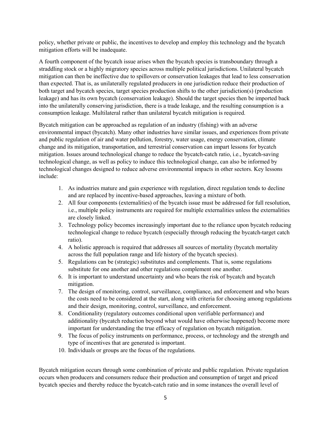policy, whether private or public, the incentives to develop and employ this technology and the bycatch mitigation efforts will be inadequate.

A fourth component of the bycatch issue arises when the bycatch species is transboundary through a straddling stock or a highly migratory species across multiple political jurisdictions. Unilateral bycatch mitigation can then be ineffective due to spillovers or conservation leakages that lead to less conservation than expected. That is, as unilaterally regulated producers in one jurisdiction reduce their production of both target and bycatch species, target species production shifts to the other jurisdiction(s) (production leakage) and has its own bycatch (conservation leakage). Should the target species then be imported back into the unilaterally conserving jurisdiction, there is a trade leakage, and the resulting consumption is a consumption leakage. Multilateral rather than unilateral bycatch mitigation is required.

Bycatch mitigation can be approached as regulation of an industry (fishing) with an adverse environmental impact (bycatch). Many other industries have similar issues, and experiences from private and public regulation of air and water pollution, forestry, water usage, energy conservation, climate change and its mitigation, transportation, and terrestrial conservation can impart lessons for bycatch mitigation. Issues around technological change to reduce the bycatch-catch ratio, i.e., bycatch-saving technological change, as well as policy to induce this technological change, can also be informed by technological changes designed to reduce adverse environmental impacts in other sectors. Key lessons include:

- 1. As industries mature and gain experience with regulation, direct regulation tends to decline and are replaced by incentive-based approaches, leaving a mixture of both.
- 2. All four components (externalities) of the bycatch issue must be addressed for full resolution, i.e., multiple policy instruments are required for multiple externalities unless the externalities are closely linked.
- 3. Technology policy becomes increasingly important due to the reliance upon bycatch reducing technological change to reduce bycatch (especially through reducing the bycatch-target catch ratio).
- 4. A holistic approach is required that addresses all sources of mortality (bycatch mortality across the full population range and life history of the bycatch species).
- 5. Regulations can be (strategic) substitutes and complements. That is, some regulations substitute for one another and other regulations complement one another.
- 6. It is important to understand uncertainty and who bears the risk of bycatch and bycatch mitigation.
- 7. The design of monitoring, control, surveillance, compliance, and enforcement and who bears the costs need to be considered at the start, along with criteria for choosing among regulations and their design, monitoring, control, surveillance, and enforcement.
- 8. Conditionality (regulatory outcomes conditional upon verifiable performance) and additionality (bycatch reduction beyond what would have otherwise happened) become more important for understanding the true efficacy of regulation on bycatch mitigation.
- 9. The focus of policy instruments on performance, process, or technology and the strength and type of incentives that are generated is important.
- 10. Individuals or groups are the focus of the regulations.

Bycatch mitigation occurs through some combination of private and public regulation. Private regulation occurs when producers and consumers reduce their production and consumption of target and priced bycatch species and thereby reduce the bycatch-catch ratio and in some instances the overall level of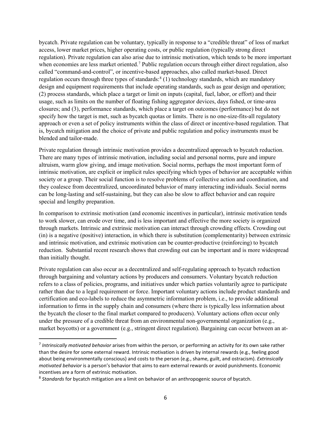bycatch. Private regulation can be voluntary, typically in response to a "credible threat" of loss of market access, lower market prices, higher operating costs, or public regulation (typically strong direct regulation). Private regulation can also arise due to intrinsic motivation, which tends to be more important when economies are less market oriented.<sup>[7](#page-11-0)</sup> Public regulation occurs through either direct regulation, also called "command-and-control", or incentive-based approaches, also called market-based. Direct regulation occurs through three types of standards: $8(1)$  technology standards, which are mandatory design and equipment requirements that include operating standards, such as gear design and operation; (2) process standards, which place a target or limit on inputs (capital, fuel, labor, or effort) and their usage, such as limits on the number of floating fishing aggregator devices, days fished, or time-area closures; and (3), performance standards, which place a target on outcomes (performance) but do not specify how the target is met, such as bycatch quotas or limits. There is no one-size-fits-all regulatory approach or even a set of policy instruments within the class of direct or incentive-based regulation. That is, bycatch mitigation and the choice of private and public regulation and policy instruments must be blended and tailor-made.

Private regulation through intrinsic motivation provides a decentralized approach to bycatch reduction. There are many types of intrinsic motivation, including social and personal norms, pure and impure altruism, warm glow giving, and image motivation. Social norms, perhaps the most important form of intrinsic motivation, are explicit or implicit rules specifying which types of behavior are acceptable within society or a group. Their social function is to resolve problems of collective action and coordination, and they coalesce from decentralized, uncoordinated behavior of many interacting individuals. Social norms can be long-lasting and self-sustaining, but they can also be slow to affect behavior and can require special and lengthy preparation.

In comparison to extrinsic motivation (and economic incentives in particular), intrinsic motivation tends to work slower, can erode over time, and is less important and effective the more society is organized through markets. Intrinsic and extrinsic motivation can interact through crowding effects. Crowding out (in) is a negative (positive) interaction, in which there is substitution (complementarity) between extrinsic and intrinsic motivation, and extrinsic motivation can be counter-productive (reinforcing) to bycatch reduction. Substantial recent research shows that crowding out can be important and is more widespread than initially thought.

Private regulation can also occur as a decentralized and self-regulating approach to bycatch reduction through bargaining and voluntary actions by producers and consumers. Voluntary bycatch reduction refers to a class of policies, programs, and initiatives under which parties voluntarily agree to participate rather than due to a legal requirement or force. Important voluntary actions include product standards and certification and eco-labels to reduce the asymmetric information problem, i.e., to provide additional information to firms in the supply chain and consumers (where there is typically less information about the bycatch the closer to the final market compared to producers). Voluntary actions often occur only under the pressure of a credible threat from an environmental non-governmental organization (e.g., market boycotts) or a government (e.g., stringent direct regulation). Bargaining can occur between an at-

<span id="page-11-0"></span> <sup>7</sup> *Intrinsically motivated behavior* arises from within the person, or performing an activity for its own sake rather than the desire for some external reward. Intrinsic motivation is driven by internal rewards (e.g., feeling good about being environmentally conscious) and costs to the person (e.g., shame, guilt, and ostracism). *Extrinsically motivated behavior* is a person's behavior that aims to earn external rewards or avoid punishments. Economic incentives are a form of extrinsic motivation.

<span id="page-11-1"></span><sup>8</sup> *Standards* for bycatch mitigation are a limit on behavior of an anthropogenic source of bycatch.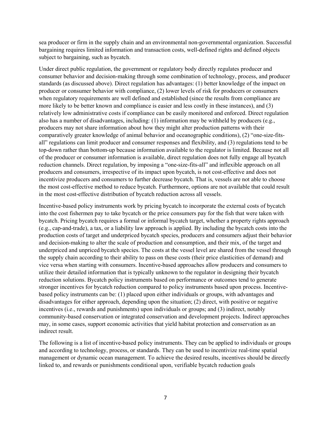sea producer or firm in the supply chain and an environmental non-governmental organization. Successful bargaining requires limited information and transaction costs, well-defined rights and defined objects subject to bargaining, such as bycatch.

Under direct public regulation, the government or regulatory body directly regulates producer and consumer behavior and decision-making through some combination of technology, process, and producer standards (as discussed above). Direct regulation has advantages: (1) better knowledge of the impact on producer or consumer behavior with compliance, (2) lower levels of risk for producers or consumers when regulatory requirements are well defined and established (since the results from compliance are more likely to be better known and compliance is easier and less costly in these instances), and (3) relatively low administrative costs if compliance can be easily monitored and enforced. Direct regulation also has a number of disadvantages, including: (1) information may be withheld by producers (e.g., producers may not share information about how they might alter production patterns with their comparatively greater knowledge of animal behavior and oceanographic conditions), (2) "one-size-fitsall" regulations can limit producer and consumer responses and flexibility, and (3) regulations tend to be top-down rather than bottom-up because information available to the regulator is limited. Because not all of the producer or consumer information is available, direct regulation does not fully engage all bycatch reduction channels. Direct regulation, by imposing a "one-size-fits-all" and inflexible approach on all producers and consumers, irrespective of its impact upon bycatch, is not cost-effective and does not incentivize producers and consumers to further decrease bycatch. That is, vessels are not able to choose the most cost-effective method to reduce bycatch. Furthermore, options are not available that could result in the most cost-effective distribution of bycatch reduction across all vessels.

Incentive-based policy instruments work by pricing bycatch to incorporate the external costs of bycatch into the cost fishermen pay to take bycatch or the price consumers pay for the fish that were taken with bycatch. Pricing bycatch requires a formal or informal bycatch target, whether a property rights approach (e.g., cap-and-trade), a tax, or a liability law approach is applied. By including the bycatch costs into the production costs of target and underpriced bycatch species, producers and consumers adjust their behavior and decision-making to alter the scale of production and consumption, and their mix, of the target and underpriced and unpriced bycatch species. The costs at the vessel level are shared from the vessel through the supply chain according to their ability to pass on these costs (their price elasticities of demand) and vice versa when starting with consumers. Incentive-based approaches allow producers and consumers to utilize their detailed information that is typically unknown to the regulator in designing their bycatch reduction solutions. Bycatch policy instruments based on performance or outcomes tend to generate stronger incentives for bycatch reduction compared to policy instruments based upon process. Incentivebased policy instruments can be: (1) placed upon either individuals or groups, with advantages and disadvantages for either approach, depending upon the situation; (2) direct, with positive or negative incentives (i.e., rewards and punishments) upon individuals or groups; and (3) indirect, notably community-based conservation or integrated conservation and development projects. Indirect approaches may, in some cases, support economic activities that yield habitat protection and conservation as an indirect result.

The following is a list of incentive-based policy instruments. They can be applied to individuals or groups and according to technology, process, or standards. They can be used to incentivize real-time spatial management or dynamic ocean management. To achieve the desired results, incentives should be directly linked to, and rewards or punishments conditional upon, verifiable bycatch reduction goals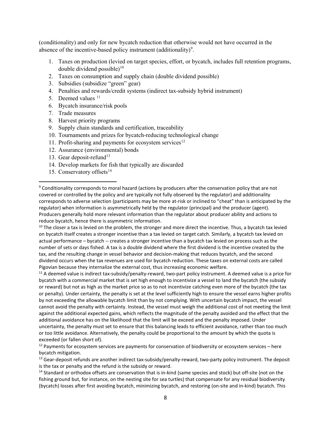(conditionality) and only for new bycatch reduction that otherwise would not have occurred in the absence of the incentive-based policy instrument (additionality)<sup>[9](#page-13-0)</sup>.

- 1. Taxes on production (levied on target species, effort, or bycatch, includes full retention programs, double dividend possible) $10$
- 2. Taxes on consumption and supply chain (double dividend possible)
- 3. Subsidies (subsidize "green" gear)
- 4. Penalties and rewards/credit systems (indirect tax-subsidy hybrid instrument)
- 5. Deemed values <sup>[11](#page-13-2)</sup>
- 6. Bycatch insurance/risk pools
- 7. Trade measures
- 8. Harvest priority programs
- 9. Supply chain standards and certification, traceability
- 10. Tournaments and prizes for bycatch-reducing technological change
- 11. Profit-sharing and payments for ecosystem services<sup>[12](#page-13-3)</sup>
- 12. Assurance (environmental) bonds
- [13](#page-13-4). Gear deposit-refund<sup>13</sup>
- 14. Develop markets for fish that typically are discarded
- 15. Conservatory offsets $14$

<span id="page-13-1"></span> $10$  The closer a tax is levied on the problem, the stronger and more direct the incentive. Thus, a bycatch tax levied on bycatch itself creates a stronger incentive than a tax levied on target catch. Similarly, a bycatch tax levied on actual performance – bycatch -- creates a stronger incentive than a bycatch tax levied on process such as the number of sets or days fished. A tax is a double dividend where the first dividend is the incentive created by the tax, and the resulting change in vessel behavior and decision-making that reduces bycatch, and the second dividend occurs when the tax revenues are used for bycatch reduction. These taxes on external costs are called Pigovian because they internalize the external cost, thus increasing economic welfare.

<span id="page-13-2"></span> $11$  A deemed value is indirect tax-subsidy/penalty-reward, two-part policy instrument. A deemed value is a price for bycatch with a commercial market that is set high enough to incentivize a vessel to land the bycatch (the subsidy or reward) but not as high as the market price so as to not incentivize catching even more of the bycatch (the tax or penalty). Under certainty, the penalty is set at the level sufficiently high to ensure the vessel earns higher profits by not exceeding the allowable bycatch limit than by not complying. With uncertain bycatch impact, the vessel cannot avoid the penalty with certainty. Instead, the vessel must weigh the additional cost of not meeting the limit against the additional expected gains, which reflects the magnitude of the penalty avoided and the effect that the additional avoidance has on the likelihood that the limit will be exceed and the penalty imposed. Under uncertainty, the penalty must set to ensure that this balancing leads to efficient avoidance, rather than too much or too little avoidance. Alternatively, the penalty could be proportional to the amount by which the quota is exceeded (or fallen short of).

<span id="page-13-4"></span><sup>13</sup> Gear-deposit refunds are another indirect tax-subsidy/penalty-reward, two-party policy instrument. The deposit is the tax or penalty and the refund is the subsidy or reward.

<span id="page-13-5"></span><sup>14</sup> Standard or orthodox offsets are conservation that is in-kind (same species and stock) but off-site (not on the fishing ground but, for instance, on the nesting site for sea turtles) that compensate for any residual biodiversity (bycatch) losses after first avoiding bycatch, minimizing bycatch, and restoring (on-site and in-kind) bycatch. This

<span id="page-13-0"></span> <sup>9</sup> Conditionality corresponds to moral hazard (actions by producers after the conservation policy that are not covered or controlled by the policy and are typically not fully observed by the regulator) and additionality corresponds to adverse selection (participants may be more at-risk or inclined to "cheat" than is anticipated by the regulator) when information is asymmetrically held by the regulator (principal) and the producer (agent). Producers generally hold more relevant information than the regulator about producer ability and actions to reduce bycatch, hence there is asymmetric information.

<span id="page-13-3"></span> $12$  Payments for ecosystem services are payments for conservation of biodiversity or ecosystem services – here bycatch mitigation.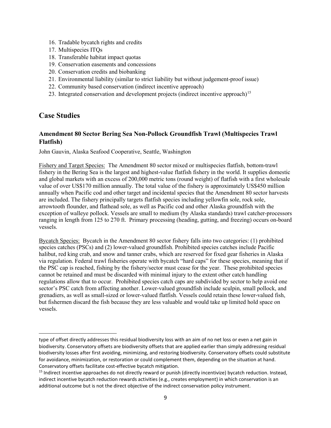- 16. Tradable bycatch rights and credits
- 17. Multispecies ITQs
- 18. Transferable habitat impact quotas
- 19. Conservation easements and concessions
- 20. Conservation credits and biobanking
- 21. Environmental liability (similar to strict liability but without judgement-proof issue)
- 22. Community based conservation (indirect incentive approach)
- <span id="page-14-0"></span>23. Integrated conservation and development projects (indirect incentive approach)<sup>[15](#page-14-2)</sup>

#### **Case Studies**

l

#### <span id="page-14-1"></span>**Amendment 80 Sector Bering Sea Non-Pollock Groundfish Trawl (Multispecies Trawl Flatfish)**

John Gauvin, Alaska Seafood Cooperative, Seattle, Washington

Fishery and Target Species: The Amendment 80 sector mixed or multispecies flatfish, bottom-trawl fishery in the Bering Sea is the largest and highest-value flatfish fishery in the world. It supplies domestic and global markets with an excess of 200,000 metric tons (round weight) of flatfish with a first wholesale value of over US\$170 million annually. The total value of the fishery is approximately US\$450 million annually when Pacific cod and other target and incidental species that the Amendment 80 sector harvests are included. The fishery principally targets flatfish species including yellowfin sole, rock sole, arrowtooth flounder, and flathead sole, as well as Pacific cod and other Alaska groundfish with the exception of walleye pollock. Vessels are small to medium (by Alaska standards) trawl catcher-processors ranging in length from 125 to 270 ft. Primary processing (heading, gutting, and freezing) occurs on-board vessels.

Bycatch Species: Bycatch in the Amendment 80 sector fishery falls into two categories: (1) prohibited species catches (PSCs) and (2) lower-valued groundfish. Prohibited species catches include Pacific halibut, red king crab, and snow and tanner crabs, which are reserved for fixed gear fisheries in Alaska via regulation. Federal trawl fisheries operate with bycatch "hard caps" for these species, meaning that if the PSC cap is reached, fishing by the fishery/sector must cease for the year. These prohibited species cannot be retained and must be discarded with minimal injury to the extent other catch handling regulations allow that to occur. Prohibited species catch caps are subdivided by sector to help avoid one sector's PSC catch from affecting another. Lower-valued groundfish include sculpin, small pollock, and grenadiers, as well as small-sized or lower-valued flatfish. Vessels could retain these lower-valued fish, but fishermen discard the fish because they are less valuable and would take up limited hold space on vessels.

type of offset directly addresses this residual biodiversity loss with an aim of no net loss or even a net gain in biodiversity. Conservatory offsets are biodiversity offsets that are applied earlier than simply addressing residual biodiversity losses after first avoiding, minimizing, and restoring biodiversity. Conservatory offsets could substitute for avoidance, minimization, or restoration or could complement them, depending on the situation at hand. Conservatory offsets facilitate cost-effective bycatch mitigation.

<span id="page-14-2"></span><sup>&</sup>lt;sup>15</sup> Indirect incentive approaches do not directly reward or punish (directly incentivize) bycatch reduction. Instead, indirect incentive bycatch reduction rewards activities (e.g., creates employment) in which conservation is an additional outcome but is not the direct objective of the indirect conservation policy instrument.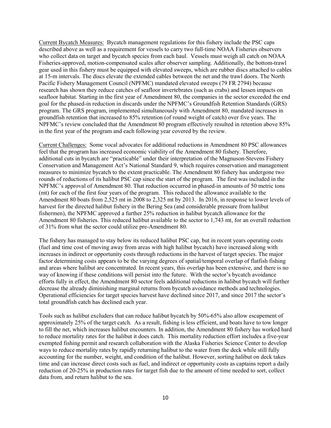Current Bycatch Measures: Bycatch management regulations for this fishery include the PSC caps described above as well as a requirement for vessels to carry two full-time NOAA Fisheries observers who collect data on target and bycatch species from each haul. Vessels must weigh all catch on NOAA Fisheries-approved, motion-compensated scales after observer sampling. Additionally, the bottom-trawl gear used in this fishery must be equipped with elevated sweeps, which are rubber discs attached to cables at 15-m intervals. The discs elevate the extended cables between the net and the trawl doors. The North Pacific Fishery Management Council (NPFMC) mandated elevated sweeps (79 FR 2794) because research has shown they reduce catches of seafloor invertebrates (such as crabs) and lessen impacts on seafloor habitat. Starting in the first year of Amendment 80, the companies in the sector exceeded the end goal for the phased-in reduction in discards under the NPFMC's Groundfish Retention Standards (GRS) program. The GRS program, implemented simultaneously with Amendment 80, mandated increases in groundfish retention that increased to 85% retention (of round weight of catch) over five years. The NPFMC's review concluded that the Amendment 80 program effectively resulted in retention above 85% in the first year of the program and each following year covered by the review.

Current Challenges: Some vocal advocates for additional reductions in Amendment 80 PSC allowances feel that the program has increased economic viability of the Amendment 80 fishery. Therefore, additional cuts in bycatch are "practicable" under their interpretation of the Magnuson-Stevens Fishery Conservation and Management Act's National Standard 9, which requires conservation and management measures to minimize bycatch to the extent practicable. The Amendment 80 fishery has undergone two rounds of reductions of its halibut PSC cap since the start of the program. The first was included in the NPFMC's approval of Amendment 80. That reduction occurred in phased-in amounts of 50 metric tons (mt) for each of the first four years of the program. This reduced the allowance available to the Amendment 80 boats from 2,525 mt in 2008 to 2,325 mt by 2013. In 2016, in response to lower levels of harvest for the directed halibut fishery in the Bering Sea (and considerable pressure from halibut fishermen), the NPFMC approved a further 25% reduction in halibut bycatch allowance for the Amendment 80 fisheries. This reduced halibut available to the sector to 1,743 mt, for an overall reduction of 31% from what the sector could utilize pre-Amendment 80.

The fishery has managed to stay below its reduced halibut PSC cap, but in recent years operating costs (fuel and time cost of moving away from areas with high halibut bycatch) have increased along with increases in indirect or opportunity costs through reductions in the harvest of target species. The major factor determining costs appears to be the varying degrees of spatial/temporal overlap of flatfish fishing and areas where halibut are concentrated. In recent years, this overlap has been extensive, and there is no way of knowing if these conditions will persist into the future. With the sector's bycatch avoidance efforts fully in effect, the Amendment 80 sector feels additional reductions in halibut bycatch will further decrease the already diminishing marginal returns from bycatch avoidance methods and technologies. Operational efficiencies for target species harvest have declined since 2017, and since 2017 the sector's total groundfish catch has declined each year.

Tools such as halibut excluders that can reduce halibut bycatch by 50%-65% also allow escapement of approximately 25% of the target catch. As a result, fishing is less efficient, and boats have to tow longer to fill the net, which increases halibut encounters. In addition, the Amendment 80 fishery has worked hard to reduce mortality rates for the halibut it does catch. This mortality reduction effort includes a five-year exempted fishing permit and research collaboration with the Alaska Fisheries Science Center to develop ways to reduce mortality rates by rapidly returning halibut to the water from the deck while still fully accounting for the number, weight, and condition of the halibut. However, sorting halibut on deck takes time and can increase direct costs such as fuel, and indirect or opportunity costs as captains report a daily reduction of 20-25% in production rates for target fish due to the amount of time needed to sort, collect data from, and return halibut to the sea.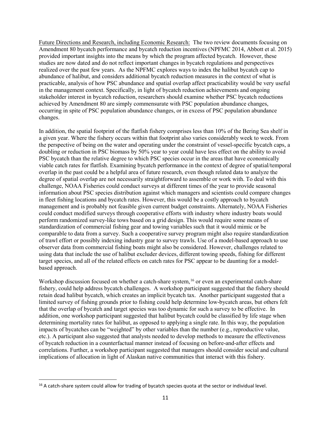Future Directions and Research, including Economic Research: The two review documents focusing on Amendment 80 bycatch performance and bycatch reduction incentives (NPFMC 2014, Abbott et al. 2015) provided important insights into the means by which the program affected bycatch. However, these studies are now dated and do not reflect important changes in bycatch regulations and perspectives realized over the past few years. As the NPFMC explores ways to index the halibut bycatch cap to abundance of halibut, and considers additional bycatch reduction measures in the context of what is practicable, analysis of how PSC abundance and spatial overlap affect practicability would be very useful in the management context. Specifically, in light of bycatch reduction achievements and ongoing stakeholder interest in bycatch reduction, researchers should examine whether PSC bycatch reductions achieved by Amendment 80 are simply commensurate with PSC population abundance changes, occurring in spite of PSC population abundance changes, or in excess of PSC population abundance changes.

In addition, the spatial footprint of the flatfish fishery comprises less than 10% of the Bering Sea shelf in a given year. Where the fishery occurs within that footprint also varies considerably week to week. From the perspective of being on the water and operating under the constraint of vessel-specific bycatch caps, a doubling or reduction in PSC biomass by 50% year to year could have less effect on the ability to avoid PSC bycatch than the relative degree to which PSC species occur in the areas that have economically viable catch rates for flatfish. Examining bycatch performance in the context of degree of spatial/temporal overlap in the past could be a helpful area of future research, even though related data to analyze the degree of spatial overlap are not necessarily straightforward to assemble or work with. To deal with this challenge, NOAA Fisheries could conduct surveys at different times of the year to provide seasonal information about PSC species distribution against which managers and scientists could compare changes in fleet fishing locations and bycatch rates. However, this would be a costly approach to bycatch management and is probably not feasible given current budget constraints. Alternately, NOAA Fisheries could conduct modified surveys through cooperative efforts with industry where industry boats would perform randomized survey-like tows based on a grid design. This would require some means of standardization of commercial fishing gear and towing variables such that it would mimic or be comparable to data from a survey. Such a cooperative survey program might also require standardization of trawl effort or possibly indexing industry gear to survey trawls. Use of a model-based approach to use observer data from commercial fishing boats might also be considered. However, challenges related to using data that include the use of halibut excluder devices, different towing speeds, fishing for different target species, and all of the related effects on catch rates for PSC appear to be daunting for a modelbased approach.

Workshop discussion focused on whether a catch-share system,<sup>[16](#page-16-0)</sup> or even an experimental catch-share fishery, could help address bycatch challenges. A workshop participant suggested that the fishery should retain dead halibut bycatch, which creates an implicit bycatch tax. Another participant suggested that a limited survey of fishing grounds prior to fishing could help determine low-bycatch areas, but others felt that the overlap of bycatch and target species was too dynamic for such a survey to be effective. In addition, one workshop participant suggested that halibut bycatch could be classified by life stage when determining mortality rates for halibut, as opposed to applying a single rate. In this way, the population impacts of bycatches can be "weighted" by other variables than the number (e.g., reproductive value, etc.). A participant also suggested that analysts needed to develop methods to measure the effectiveness of bycatch reduction in a counterfactual manner instead of focusing on before-and-after effects and correlations. Further, a workshop participant suggested that managers should consider social and cultural implications of allocation in light of Alaskan native communities that interact with this fishery.

<span id="page-16-0"></span><sup>&</sup>lt;sup>16</sup> A catch-share system could allow for trading of bycatch species quota at the sector or individual level.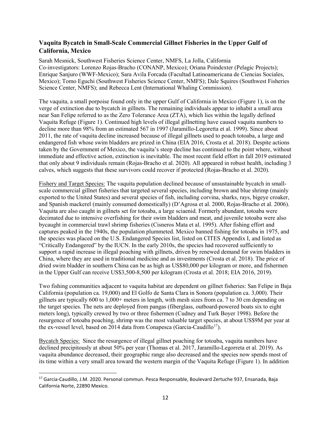#### <span id="page-17-0"></span>**Vaquita Bycatch in Small-Scale Commercial Gillnet Fisheries in the Upper Gulf of California, Mexico**

Sarah Mesnick, Southwest Fisheries Science Center, NMFS, La Jolla, California Co-investigators: Lorenzo Rojas-Bracho (CONANP, Mexico); Oriana Poindexter (Pelagic Projects); Enrique Sanjuro (WWF-Mexico); Sara Avila Forcada (Facultad Latinoamericana de Ciencias Sociales, Mexico); Tomo Eguchi (Southwest Fisheries Science Center, NMFS); Dale Squires (Southwest Fisheries Science Center, NMFS); and Rebecca Lent (International Whaling Commission).

The vaquita, a small porpoise found only in the upper Gulf of California in Mexico (Figure 1), is on the verge of extinction due to bycatch in gillnets. The remaining individuals appear to inhabit a small area near San Felipe referred to as the Zero Tolerance Area (ZTA), which lies within the legally defined Vaquita Refuge (Figure 1). Continued high levels of illegal gillnetting have caused vaquita numbers to decline more than 98% from an estimated 567 in 1997 (Jaramillo-Legoretta et al. 1999). Since about 2011, the rate of vaquita decline increased because of illegal gillnets used to poach totoaba, a large and endangered fish whose swim bladders are prized in China (EIA 2016, Crosta et al. 2018). Despite actions taken by the Government of Mexico, the vaquita's steep decline has continued to the point where, without immediate and effective action, extinction is inevitable. The most recent field effort in fall 2019 estimated that only about 9 individuals remain (Rojas-Bracho et al. 2020). All appeared in robust health, including 3 calves, which suggests that these survivors could recover if protected (Rojas-Bracho et al. 2020).

Fishery and Target Species: The vaquita population declined because of unsustainable bycatch in smallscale commercial gillnet fisheries that targeted several species, including brown and blue shrimp (mainly exported to the United States) and several species of fish, including corvina, sharks, rays, bigeye croaker, and Spanish mackerel (mainly consumed domestically) (D'Agrosa et al. 2000, Rojas-Bracho et al. 2006). Vaquita are also caught in gillnets set for totoaba, a large sciaenid. Formerly abundant, totoaba were decimated due to intensive overfishing for their swim bladders and meat, and juvenile totoaba were also bycaught in commercial trawl shrimp fisheries (Cisneros Mata et al. 1995). After fishing effort and captures peaked in the 1940s, the population plummeted. Mexico banned fishing for totoaba in 1975, and the species was placed on the U.S. Endangered Species list, listed on CITES Appendix I, and listed as "Critically Endangered" by the IUCN. In the early 2010s, the species had recovered sufficiently to support a rapid increase in illegal poaching with gillnets, driven by renewed demand for swim bladders in China, where they are used in traditional medicine and as investments (Crosta et al. 2018). The price of dried swim bladder in southern China can be as high as US\$80,000 per kilogram or more, and fishermen in the Upper Gulf can receive US\$3,500-8,500 per kilogram (Crosta et al. 2018; EIA 2016, 2019).

Two fishing communities adjacent to vaquita habitat are dependent on gillnet fisheries: San Felipe in Baja California (population ca. 19,000) and El Golfo de Santa Clara in Sonora (population ca. 3,000). Their gillnets are typically 600 to 1,000+ meters in length, with mesh sizes from ca. 7 to 30 cm depending on the target species. The nets are deployed from pangas (fiberglass, outboard-powered boats six to eight meters long), typically crewed by two or three fishermen (Cudney and Turk Boyer 1998). Before the resurgence of totoaba poaching, shrimp was the most valuable target species, at about US\$9M per year at the ex-vessel level, based on 2014 data from Conapesca (Garcia-Caudillo<sup>17</sup>).

Bycatch Species: Since the resurgence of illegal gillnet poaching for totoaba, vaquita numbers have declined precipitously at about 50% per year (Thomas et al. 2017, Jaramillo-Legorreta et al. 2019). As vaquita abundance decreased, their geographic range also decreased and the species now spends most of its time within a very small area toward the western margin of the Vaquita Refuge (Figure 1). In addition

<span id="page-17-1"></span> <sup>17</sup> Garcia-Caudillo, J.M. 2020. Personal commun. Pesca Responsable, Boulevard Zertuche 937, Ensanada, Baja California Norte, 22890 Mexico.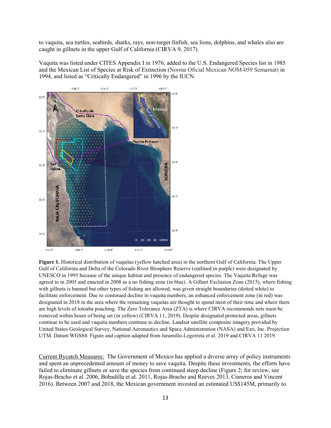to vaquita, sea turtles, seabirds, sharks, rays, non-target finfish, sea lions, dolphins, and whales also are caught in gillnets in the upper Gulf of California (CIRVA 9, 2017).

Vaquita was listed under CITES Appendix I in 1976, added to the U.S. Endangered Species list in 1985 and the Mexican List of Species at Risk of Extinction (Norma Oficial Mexican NOM-059 Semarnat) in 1994, and listed as "Critically Endangered" in 1996 by the IUCN.



**Figure 1.** Historical distribution of vaquitas (yellow hatched area) in the northern Gulf of California. The Upper Gulf of California and Delta of the Colorado River Biosphere Reserve (outlined in purple) were designated by UNESCO in 1995 because of the unique habitat and presence of endangered species. The Vaquita Refuge was agreed to in 2005 and enacted in 2008 as a no fishing zone (in blue). A Gillnet Exclusion Zone (2015), where fishing with gillnets is banned but other types of fishing are allowed, was given straight boundaries (dotted white) to facilitate enforcement. Due to continued decline in vaquita numbers, an enhanced enforcement zone (in red) was designated in 2018 in the area where the remaining vaquitas are thought to spend most of their time and where there are high levels of totoaba poaching. The Zero Tolerance Area (ZTA) is where CIRVA recommends nets must be removed within hours of being set (in yellow) (CIRVA 11, 2019). Despite designated protected areas, gillnets continue to be used and vaquita numbers continue to decline. Landsat satellite composite imagery provided by United States Geological Survey, National Aeronautics and Space Administration (NASA) and Esri, Inc. Projection UTM. Datum WGS84. Figure and caption adapted from Jaramillo-Legorreta et al. 2019 and CIRVA 11 2019.

Current Bycatch Measures: The Government of Mexico has applied a diverse array of policy instruments and spent an unprecedented amount of money to save vaquita. Despite these investments, the efforts have failed to eliminate gillnets or save the species from continued steep decline (Figure 2; for review, see Rojas-Bracho et al. 2006, Bobadilla et al. 2011, Rojas-Bracho and Reeves 2013, Cisneros and Vincent 2016). Between 2007 and 2018, the Mexican government invested an estimated US\$145M, primarily to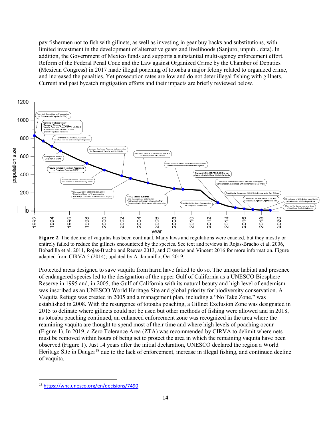pay fishermen not to fish with gillnets, as well as investing in gear buy backs and substitutions, with limited investment in the development of alternative gears and livelihoods (Sanjuro, unpubl. data). In addition, the Government of Mexico funds and supports a substantial multi-agency enforcement effort. Reform of the Federal Penal Code and the Law against Organized Crime by the Chamber of Deputies (Mexican Congress) in 2017 made illegal poaching of totoaba a major felony related to organized crime, and increased the penalties. Yet prosecution rates are low and do not deter illegal fishing with gillnets. Current and past bycatch migtigation efforts and their impacts are briefly reviewed below.



**Figure 2.** The decline of vaquitas has been continual. Many laws and regulations were enacted, but they mostly or entirely failed to reduce the gillnets encountered by the species. See text and reviews in Rojas-Bracho et al. 2006, Bobadilla et al. 2011, Rojas-Bracho and Reeves 2013, and Cisneros and Vincent 2016 for more information. Figure adapted from CIRVA 5 (2014); updated by A. Jaramillo, Oct 2019.

Protected areas designed to save vaquita from harm have failed to do so. The unique habitat and presence of endangered species led to the designation of the upper Gulf of California as a UNESCO Biosphere Reserve in 1995 and, in 2005, the Gulf of California with its natural beauty and high level of endemism was inscribed as an UNESCO World Heritage Site and global priority for biodiversity conservation. A Vaquita Refuge was created in 2005 and a management plan, including a "No Take Zone," was established in 2008. With the resurgence of totoaba poaching, a Gillnet Exclusion Zone was designated in 2015 to delinate where gillnets could not be used but other methods of fishing were allowed and in 2018, as totoaba poaching continued, an enhanced enforcement zone was recognized in the area where the reamining vaquita are thought to spend most of their time and where high levels of poaching occur (Figure 1). In 2019, a Zero Tolerance Area (ZTA) was recommended by CIRVA to delimit where nets must be removed within hours of being set to protect the area in which the remaining vaquita have been observed (Figure 1). Just 14 years after the initial declaration, UNESCO declared the region a World Heritage Site in Danger<sup>[18](#page-19-0)</sup> due to the lack of enforcement, increase in illegal fishing, and continued decline of vaquita.

<span id="page-19-0"></span> <sup>18</sup> <https://whc.unesco.org/en/decisions/7490>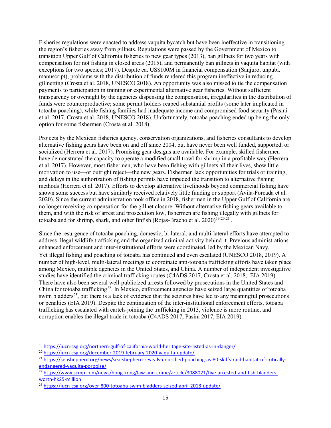Fisheries regulations were enacted to address vaquita bycatch but have been ineffective in transitioning the region's fisheries away from gillnets. Regulations were passed by the Government of Mexico to transition Upper Gulf of California fisheries to new gear types (2013), ban gillnets for two years with compensation for not fishing in closed areas (2015), and permanently ban gillnets in vaquita habitat (with exceptions for two species; 2017). Despite ca. US\$100M in financial compensation (Sanjuro, unpubl. manuscript), problems with the distribution of funds rendered this program ineffective in reducing gillnetting (Crosta et al. 2018, UNESCO 2018). An opportunity was also missed to tie the compensation payments to participation in training or experimental alternative gear fisheries. Without sufficient transparency or oversight by the agencies dispensing the compensation, irregularities in the distribution of funds were counterproductive; some permit holders reaped substantial profits (some later implicated in totoaba poaching), while fishing families had inadequate income and compromised food security (Pasini et al. 2017, Crosta et al. 2018, UNESCO 2018). Unfortunately, totoaba poaching ended up being the only option for some fishermen (Crosta et al. 2018).

Projects by the Mexican fisheries agency, conservation organizations, and fisheries consultants to develop alternative fishing gears have been on and off since 2004, but have never been well funded, supported, or socialized (Herrera et al. 2017). Promising gear designs are available. For example, skilled fishermen have demonstrated the capacity to operate a modified small trawl for shrimp in a profitable way (Herrera et al. 2017). However, most fishermen, who have been fishing with gillnets all their lives, show little motivation to use—or outright reject—the new gears. Fishermen lack opportunities for trials or training, and delays in the authorization of fishing permits have impeded the transition to alternative fishing methods (Herrera et al. 2017). Efforts to develop alternative livelihoods beyond commercial fishing have shown some success but have similarly received relatively little funding or support (Ávila-Forcada et al. 2020). Since the current administration took office in 2018, fishermen in the Upper Gulf of California are no longer receiving compensation for the gillnet closure. Without alternative fishing gears available to them, and with the risk of arrest and prosecution low, fishermen are fishing illegally with gillnets for totoaba and for shrimp, shark, and other finfish (Rojas-Bracho et al. 2020)<sup>19,[20,](#page-20-1)[21](#page-20-2)</sup>.

Since the resurgence of totoaba poaching, domestic, bi-lateral, and multi-lateral efforts have attempted to address illegal wildlife trafficking and the organized criminal activity behind it. Previous administrations enhanced enforcement and inter-institutional efforts were coordinated, led by the Mexican Navy. Yet illegal fishing and poaching of totoaba has continued and even escalated (UNESCO 2018, 2019). A number of high-level, multi-lateral meetings to coordinate anti-totoaba trafficking efforts have taken place among Mexico, multiple agencies in the United States, and China. A number of independent investigative studies have identified the criminal trafficking routes (C4ADS 2017, Crosta et al. 2018, EIA 2019). There have also been several well-publicized arrests followed by prosecutions in the United States and China for totoaba trafficking<sup>22</sup>. In Mexico, enforcement agencies have seized large quantities of totoaba swim bladders<sup>[23](#page-20-4)</sup>, but there is a lack of evidence that the seizures have led to any meaningful prosecutions or penalties (EIA 2019). Despite the continuation of the inter-institutional enforcement efforts, totoaba trafficking has escalated with cartels joining the trafficking in 2013, violence is more routine, and corruption enables the illegal trade in totoaba (C4ADS 2017, Pasini 2017, EIA 2019).

<span id="page-20-0"></span> <sup>19</sup> <https://iucn-csg.org/northern-gulf-of-california-world-heritage-site-listed-as-in-danger/>

<span id="page-20-1"></span><sup>20</sup> <https://iucn-csg.org/december-2019-february-2020-vaquita-update/>

<span id="page-20-2"></span><sup>21</sup> [https://seashepherd.org/news/sea-shepherd-reveals-unbridled-poaching-as-80-skiffs-raid-habitat-of-critically](https://seashepherd.org/news/sea-shepherd-reveals-unbridled-poaching-as-80-skiffs-raid-habitat-of-critically-endangered-vaquita-porpoise/)[endangered-vaquita-porpoise/](https://seashepherd.org/news/sea-shepherd-reveals-unbridled-poaching-as-80-skiffs-raid-habitat-of-critically-endangered-vaquita-porpoise/)

<span id="page-20-3"></span><sup>&</sup>lt;sup>22</sup> [https://www.scmp.com/news/hong-kong/law-and-crime/article/3088021/five-arrested-and-fish-bladders](https://www.scmp.com/news/hong-kong/law-and-crime/article/3088021/five-arrested-and-fish-bladders-worth-hk25-million)[worth-hk25-million](https://www.scmp.com/news/hong-kong/law-and-crime/article/3088021/five-arrested-and-fish-bladders-worth-hk25-million)

<span id="page-20-4"></span><sup>23</sup> <https://iucn-csg.org/over-800-totoaba-swim-bladders-seized-april-2018-update/>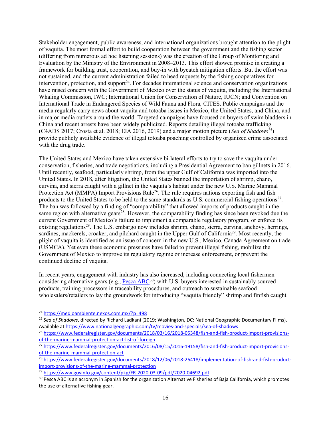Stakeholder engagement, public awareness, and international organizations brought attention to the plight of vaquita. The most formal effort to build cooperation between the government and the fishing sector (differing from numerous ad hoc listening sessions) was the creation of the Group of Monitoring and Evaluation by the Ministry of the Environment in 2008–2013. This effort showed promise in creating a framework for building trust, cooperation, and buy-in with bycatch mitigation efforts. But the effort was not sustained, and the current administration failed to heed requests by the fishing cooperatives for intervention, protection, and support<sup>24</sup>. For decades international science and conservation organizations have raised concern with the Government of Mexico over the status of vaquita, including the International Whaling Commission, IWC; International Union for Conservation of Nature, IUCN; and Convention on International Trade in Endangered Species of Wild Fauna and Flora*,* CITES. Public campaigns and the media regularly carry news about vaquita and totoaba issues in Mexico, the United States, and China, and in major media outlets around the world. Targeted campaigns have focused on buyers of swim bladders in China and recent arrests have been widely publicized. Reports detailing illegal totoaba trafficking (C4ADS 2017; Crosta et al. 2018; EIA 2016, 2019) and a major motion picture (*Sea of Shadows*<sup>25</sup>) provide publicly available evidence of illegal totoaba poaching controlled by organized crime associated with the drug trade.

The United States and Mexico have taken extensive bi-lateral efforts to try to save the vaquita under conservation, fisheries, and trade negotiations, including a Presidential Agreement to ban gillnets in 2016. Until recently, seafood, particularly shrimp, from the upper Gulf of California was imported into the United States. In 2018, after litigation, the United States banned the importation of shrimp, chano, curvina, and sierra caught with a gillnet in the vaquita's habitat under the new U.S. Marine Mammal Protection Act (MMPA) Import Provisions Rule<sup>26</sup>. The rule requires nations exporting fish and fish products to the United States to be held to the same standards as U.S. commercial fishing operations<sup>27</sup>. The ban was followed by a finding of "comparability" that allowed imports of products caught in the same region with alternative gears<sup>[28](#page-21-4)</sup>. However, the comparability finding has since been revoked due the current Government of Mexico's failure to implement a comparable regulatory program, or enforce its existing regulations<sup>29</sup>. The U.S. embargo now includes shrimp, chano, sierra, curvina, anchovy, herrings, sardines, mackerels, croaker, and pilchard caught in the Upper Gulf of California<sup>29</sup>. Most recently, the plight of vaquita is identified as an issue of concern in the new U.S., Mexico, Canada Agreement on trade (USMCA). Yet even these economic pressures have failed to prevent illegal fishing, mobilize the Government of Mexico to improve its regulatory regime or increase enforcement, or prevent the continued decline of vaquita.

In recent years, engagement with industry has also increased, including connecting local fishermen considering alternative gears (e.g.,  $Pesca ABC^{30}$  $Pesca ABC^{30}$  $Pesca ABC^{30}$ ) with U.S. buyers interested in sustainably sourced products, training processors in traceability procedures, and outreach to sustainable seafood wholesalers/retailers to lay the groundwork for introducing "vaquita friendly" shrimp and finfish caught

<span id="page-21-0"></span> <sup>24</sup> <https://medioambiente.nexos.com.mx/?p=498>

<span id="page-21-1"></span><sup>25</sup> *Sea of Shadows*, directed by Richard Ladkani (2019; Washington, DC: National Geographic Documentary Films). Available a[t https://www.nationalgeographic.com/tv/movies-and-specials/sea-of-shadows](https://www.nationalgeographic.com/tv/movies-and-specials/sea-of-shadows)

<span id="page-21-2"></span><sup>&</sup>lt;sup>26</sup> [https://www.federalregister.gov/documents/2018/03/16/2018-05348/fish-and-fish-product-import-provisions](https://www.federalregister.gov/documents/2018/03/16/2018-05348/fish-and-fish-product-import-provisions-of-the-marine-mammal-protection-act-list-of-foreign)[of-the-marine-mammal-protection-act-list-of-foreign](https://www.federalregister.gov/documents/2018/03/16/2018-05348/fish-and-fish-product-import-provisions-of-the-marine-mammal-protection-act-list-of-foreign)

<span id="page-21-3"></span><sup>&</sup>lt;sup>27</sup> [https://www.federalregister.gov/documents/2016/08/15/2016-19158/fish-and-fish-product-import-provisions](https://www.federalregister.gov/documents/2016/08/15/2016-19158/fish-and-fish-product-import-provisions-of-the-marine-mammal-protection-act)[of-the-marine-mammal-protection-act](https://www.federalregister.gov/documents/2016/08/15/2016-19158/fish-and-fish-product-import-provisions-of-the-marine-mammal-protection-act)

<span id="page-21-4"></span><sup>28</sup> [https://www.federalregister.gov/documents/2018/12/06/2018-26418/implementation-of-fish-and-fish-product](https://www.federalregister.gov/documents/2018/12/06/2018-26418/implementation-of-fish-and-fish-product-import-provisions-of-the-marine-mammal-protection)[import-provisions-of-the-marine-mammal-protection](https://www.federalregister.gov/documents/2018/12/06/2018-26418/implementation-of-fish-and-fish-product-import-provisions-of-the-marine-mammal-protection)

<span id="page-21-5"></span><sup>29</sup> <https://www.govinfo.gov/content/pkg/FR-2020-03-09/pdf/2020-04692.pdf>

<span id="page-21-6"></span><sup>&</sup>lt;sup>30</sup> Pesca ABC is an acronym in Spanish for the organization Alternative Fisheries of Baja California, which promotes the use of alternative fishing gear.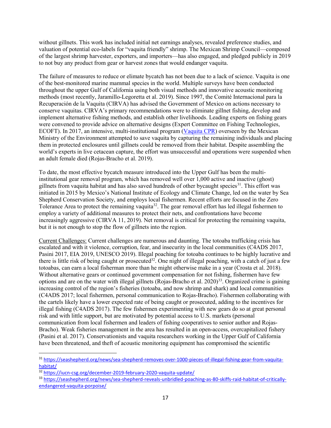without gillnets. This work has included initial net earnings analyses, revealed preference studies, and valuation of potential eco-labels for "vaquita friendly" shrimp. The Mexican Shrimp Council—composed of the largest shrimp harvester, exporters, and importers—has also engaged, and pledged publicly in 2019 to not buy any product from gear or harvest zones that would endanger vaquita.

The failure of measures to reduce or elimate bycatch has not been due to a lack of science. Vaquita is one of the best-monitored marine mammal species in the world. Multiple surveys have been conducted throughout the upper Gulf of California using both visual methods and innovative acoustic monitoring methods (most recently, Jaramillo-Legoretta et al. 2019). Since 1997, the Comité Internacional para la Recuperación de la Vaquita (CIRVA) has advised the Government of Mexico on actions necessary to conserve vaquitas. CIRVA's primary recommendations were to eliminate gillnet fishing, develop and implement alternative fishing methods, and establish other livelihoods. Leading experts on fishing gears were convened to provide advice on alternative designs (Expert Committee on Fishing Technologies, ECOFT). In 2017, an intensive, multi-institutional program [\(Vaquita CPR\)](https://www.vaquitacpr.org/rescue-efforts/) overseen by the Mexican Ministry of the Environment attempted to save vaquita by capturing the remaining individuals and placing them in protected enclosures until gillnets could be removed from their habitat. Despite assembling the world's experts in live cetacean capture, the effort was unsuccessful and operations were suspended when an adult female died (Rojas-Bracho et al. 2019).

To date, the most effective bycatch measure introduced into the Upper Gulf has been the multiinstitutional gear removal program, which has removed well over 1,000 active and inactive (ghost) gillnets from vaquita habitat and has also saved hundreds of other bycaught species<sup>[31](#page-22-0)</sup>. This effort was initiated in 2015 by Mexico's National Institute of Ecology and Climate Change, led on the water by Sea Shepherd Conservation Society, and employs local fishermen. Recent efforts are focused in the Zero Tolerance Area to protect the remaining vaquita<sup>32</sup>. The gear removal effort has led illegal fishermen to employ a variety of additional measures to protect their nets, and confrontations have become increasingly aggressive (CIRVA 11, 2019). Net removal is critical for protecting the remaining vaquita, but it is not enough to stop the flow of gillnets into the region.

Current Challenges: Current challenges are numerous and daunting. The totoaba trafficking crisis has escalated and with it violence, corruption, fear, and insecurity in the local communities (C4ADS 2017, Pasini 2017, EIA 2019, UNESCO 2019). Illegal poaching for totoaba continues to be highly lucrative and there is little risk of being caught or prosecuted<sup>32</sup>. One night of illegal poaching, with a catch of just a few totoabas, can earn a local fisherman more than he might otherwise make in a year (Crosta et al. 2018). Without alternative gears or continued government compensation for not fishing, fishermen have few options and are on the water with illegal gillnets (Rojas-Bracho et al. 2020)<sup>[33](#page-22-2)</sup>. Organized crime is gaining increasing control of the region's fisheries (totoaba, and now shrimp and shark) and local communities (C4ADS 2017; local fishermen, personal communication to Rojas-Bracho). Fishermen collaborating with the cartels likely have a lower expected rate of being caught or prosecuted, adding to the incentives for illegal fishing (C4ADS 2017). The few fishermen experimenting with new gears do so at great personal risk and with little support, but are motivated by potential access to U.S. markets (personal communication from local fishermen and leaders of fishing cooperatives to senior author and Rojas-Bracho). Weak fisheries management in the area has resulted in an open-access, overcapitalized fishery (Pasini et al. 2017). Conservationists and vaquita researchers working in the Upper Gulf of California have been threatened, and theft of acoustic monitoring equipment has compromised the scientific

<span id="page-22-0"></span> <sup>31</sup> [https://seashepherd.org/news/sea-shepherd-removes-over-1000-pieces-of-illegal-fishing-gear-from-vaquita](https://seashepherd.org/news/sea-shepherd-removes-over-1000-pieces-of-illegal-fishing-gear-from-vaquita-habitat/)[habitat/](https://seashepherd.org/news/sea-shepherd-removes-over-1000-pieces-of-illegal-fishing-gear-from-vaquita-habitat/)

<span id="page-22-1"></span><sup>&</sup>lt;sup>32</sup> <https://iucn-csg.org/december-2019-february-2020-vaquita-update/>

<span id="page-22-2"></span><sup>33</sup> [https://seashepherd.org/news/sea-shepherd-reveals-unbridled-poaching-as-80-skiffs-raid-habitat-of-critically](https://seashepherd.org/news/sea-shepherd-reveals-unbridled-poaching-as-80-skiffs-raid-habitat-of-critically-endangered-vaquita-porpoise/)[endangered-vaquita-porpoise/](https://seashepherd.org/news/sea-shepherd-reveals-unbridled-poaching-as-80-skiffs-raid-habitat-of-critically-endangered-vaquita-porpoise/)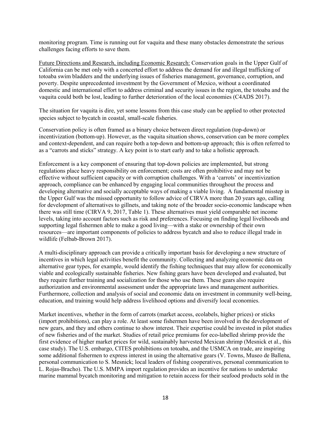monitoring program. Time is running out for vaquita and these many obstacles demonstrate the serious challenges facing efforts to save them.

Future Directions and Research, including Economic Research: Conservation goals in the Upper Gulf of California can be met only with a concerted effort to address the demand for and illegal trafficking of totoaba swim bladders and the underlying issues of fisheries management, governance, corruption, and poverty. Despite unprecedented investment by the Government of Mexico, without a coordinated domestic and international effort to address criminal and security issues in the region, the totoaba and the vaquita could both be lost, leading to further deterioration of the local economies (C4ADS 2017).

The situation for vaquita is dire, yet some lessons from this case study can be applied to other protected species subject to bycatch in coastal, small-scale fisheries.

Conservation policy is often framed as a binary choice between direct regulation (top-down) or incentivization (bottom-up). However, as the vaquita situation shows, conservation can be more complex and context-dependent, and can require both a top-down and bottom-up approach; this is often referred to as a "carrots and sticks" strategy. A key point is to start early and to take a holistic approach.

Enforcement is a key component of ensuring that top-down policies are implemented, but strong regulations place heavy responsibility on enforcement; costs are often prohibitive and may not be effective without sufficient capacity or with corruption challenges. With a 'carrots' or incentivization approach, compliance can be enhanced by engaging local communities throughout the process and developing alternative and socially acceptable ways of making a viable living. A fundamental misstep in the Upper Gulf was the missed opportunity to follow advice of CIRVA more than 20 years ago, calling for development of alternatives to gillnets, and taking note of the broader socio-economic landscape when there was still time (CIRVA 9, 2017, Table 1). These alternatives must yield comparable net income levels, taking into account factors such as risk and preferences. Focusing on finding legal livelihoods and supporting legal fishermen able to make a good living—with a stake or ownership of their own resources—are important components of policies to address bycatch and also to reduce illegal trade in wildlife (Felbab-Brown 2017).

A multi-disciplinary approach can provide a critically important basis for developing a new structure of incentives in which legal activities benefit the community. Collecting and analyzing economic data on alternative gear types, for example, would identify the fishing techniques that may allow for economically viable and ecologically sustainable fisheries. New fishing gears have been developed and evaluated, but they require further training and socialization for those who use them. These gears also require authorization and environmental assessment under the appropriate laws and management authorities. Furthermore, collection and analysis of social and economic data on investment in community well-being, education, and training would help address livelihood options and diversify local economies.

Market incentives, whether in the form of carrots (market access, ecolabels, higher prices) or sticks (import prohibitions), can play a role. At least some fishermen have been involved in the development of new gears, and they and others continue to show interest. Their expertise could be invested in pilot studies of new fisheries and of the market. Studies of retail price premiums for eco-labelled shrimp provide the first evidence of higher market prices for wild, sustainably harvested Mexican shrimp (Mesnick et al., this case study). The U.S. embargo, CITES prohibitions on totoaba, and the USMCA on trade, are inspiring some additional fishermen to express interest in using the alternative gears (V. Towns, Museo de Ballena, personal communication to S. Mesnick; local leaders of fishing cooperatives, personal communication to L. Rojas-Bracho). The U.S. MMPA import regulation provides an incentive for nations to undertake marine mammal bycatch monitoring and mitigation to retain access for their seafood products sold in the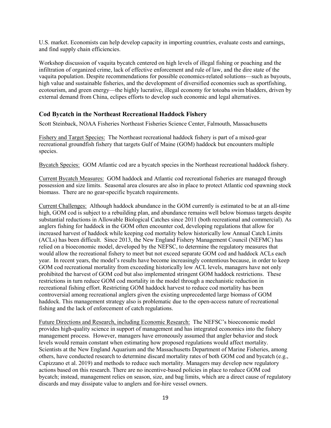U.S. market. Economists can help develop capacity in importing countries, evaluate costs and earnings, and find supply chain efficiencies.

Workshop discussion of vaquita bycatch centered on high levels of illegal fishing or poaching and the infiltration of organized crime, lack of effective enforcement and rule of law, and the dire state of the vaquita population. Despite recommendations for possible economics-related solutions—such as buyouts, high value and sustainable fisheries, and the development of diversified economies such as sportfishing, ecotourism, and green energy—the highly lucrative, illegal economy for totoaba swim bladders, driven by external demand from China, eclipes efforts to develop such economic and legal alternatives.

#### <span id="page-24-0"></span>**Cod Bycatch in the Northeast Recreational Haddock Fishery**

Scott Steinback, NOAA Fisheries Northeast Fisheries Science Center, Falmouth, Massachusetts

Fishery and Target Species: The Northeast recreational haddock fishery is part of a mixed-gear recreational groundfish fishery that targets Gulf of Maine (GOM) haddock but encounters multiple species.

Bycatch Species: GOM Atlantic cod are a bycatch species in the Northeast recreational haddock fishery.

Current Bycatch Measures: GOM haddock and Atlantic cod recreational fisheries are managed through possession and size limits. Seasonal area closures are also in place to protect Atlantic cod spawning stock biomass. There are no gear-specific bycatch requirements.

Current Challenges: Although haddock abundance in the GOM currently is estimated to be at an all-time high, GOM cod is subject to a rebuilding plan, and abundance remains well below biomass targets despite substantial reductions in Allowable Biological Catches since 2011 (both recreational and commercial). As anglers fishing for haddock in the GOM often encounter cod, developing regulations that allow for increased harvest of haddock while keeping cod mortality below historically low Annual Catch Limits (ACLs) has been difficult. Since 2013, the New England Fishery Management Council (NEFMC) has relied on a bioeconomic model, developed by the NEFSC, to determine the regulatory measures that would allow the recreational fishery to meet but not exceed separate GOM cod and haddock ACLs each year. In recent years, the model's results have become increasingly contentious because, in order to keep GOM cod recreational mortality from exceeding historically low ACL levels, managers have not only prohibited the harvest of GOM cod but also implemented stringent GOM haddock restrictions. These restrictions in turn reduce GOM cod mortality in the model through a mechanistic reduction in recreational fishing effort. Restricting GOM haddock harvest to reduce cod mortality has been controversial among recreational anglers given the existing unprecedented large biomass of GOM haddock. This management strategy also is problematic due to the open-access nature of recreational fishing and the lack of enforcement of catch regulations.

Future Directions and Research, including Economic Research: The NEFSC's bioeconomic model provides high-quality science in support of management and has integrated economics into the fishery management process. However, managers have erroneously assumed that angler behavior and stock levels would remain constant when estimating how proposed regulations would affect mortality. Scientists at the New England Aquarium and the Massachusetts Department of Marine Fisheries, among others, have conducted research to determine discard mortality rates of both GOM cod and bycatch (e.g., Capizzano et al. 2019) and methods to reduce such mortality. Managers may develop new regulatory actions based on this research. There are no incentive-based policies in place to reduce GOM cod bycatch; instead, management relies on season, size, and bag limits, which are a direct cause of regulatory discards and may dissipate value to anglers and for-hire vessel owners.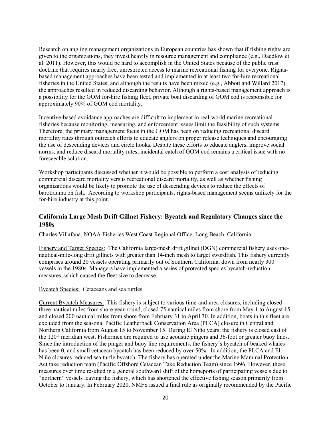Research on angling management organizations in European countries has shown that if fishing rights are given to the organizations, they invest heavily in resource management and compliance (e.g., Daedlow et al. 2011). However, this would be hard to accomplish in the United States because of the public trust doctrine that requires nearly free, unrestricted access to marine recreational fishing for everyone. Rightsbased management approaches have been tested and implemented in at least two for-hire recreational fisheries in the United States, and although the results have been mixed (e.g., Abbott and Willard 2017), the approaches resulted in reduced discarding behavior. Although a rights-based management approach is a possibility for the GOM for-hire fishing fleet, private boat discarding of GOM cod is responsible for approximately 90% of GOM cod mortality.

Incentive-based avoidance approaches are difficult to implement in real-world marine recreational fisheries because monitoring, measuring, and enforcement issues limit the feasibility of such systems. Therefore, the primary management focus in the GOM has been on reducing recreational discard mortality rates through outreach efforts to educate anglers on proper release techniques and encouraging the use of descending devices and circle hooks. Despite these efforts to educate anglers, improve social norms, and reduce discard mortality rates, incidental catch of GOM cod remains a critical issue with no foreseeable solution.

Workshop participants discussed whether it would be possible to perform a cost analysis of reducing commercial discard mortality versus recreational discard mortality, as well as whether fishing organizations would be likely to promote the use of descending devices to reduce the effects of barotrauma on fish. According to workshop participants, rights-based management seems unlikely for the for-hire industry at this point.

#### <span id="page-25-0"></span>**California Large Mesh Drift Gillnet Fishery: Bycatch and Regulatory Changes since the 1980s**

Charles Villafana, NOAA Fisheries West Coast Regional Office, Long Beach, California

Fishery and Target Species: The California large-mesh drift gillnet (DGN) commercial fishery uses onenautical-mile-long drift gillnets with greater than 14-inch mesh to target swordfish. This fishery currently comprises around 20 vessels operating primarily out of Southern California, down from nearly 300 vessels in the 1980s. Managers have implemented a series of protected species bycatch-reduction measures, which caused the fleet size to decrease.

#### Bycatch Species: Cetaceans and sea turtles

Current Bycatch Measures: This fishery is subject to various time-and-area closures, including closed three nautical miles from shore year-round, closed 75 nautical miles from shore from May 1 to August 15, and closed 200 nautical miles from shore from February 31 to April 30. In addition, boats in this fleet are excluded from the seasonal Pacific Leatherback Conservation Area (PLCA) closure in Central and Northern California from August 15 to November 15. During El Niño years, the fishery is closed east of the 120<sup>th</sup> meridian west. Fishermen are required to use acoustic pingers and 36-foot or greater buoy lines. Since the introduction of the pinger and buoy line requirements, the fishery's bycatch of beaked whales has been 0, and small cetacean bycatch has been reduced by over 50%. In addition, the PLCA and El Niño closures reduced sea turtle bycatch. The fishery has operated under the Marine Mammal Protection Act take reduction team (Pacific Offshore Cetacean Take Reduction Team) since 1996. However, these measures over time resulted in a general southward shift of the homeports of participating vessels due to "northern" vessels leaving the fishery, which has shortened the effective fishing season primarily from October to January. In February 2020, NMFS issued a final rule as originally recommended by the Pacific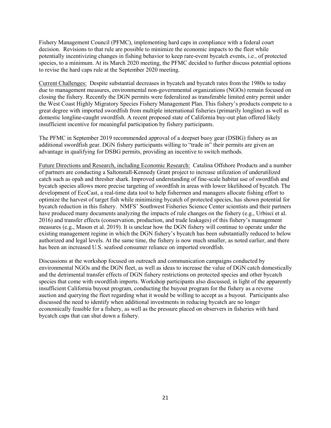Fishery Management Council (PFMC), implementing hard caps in compliance with a federal court decision. Revisions to that rule are possible to minimize the economic impacts to the fleet while potentially incentivizing changes in fishing behavior to keep rare-event bycatch events, i.e., of protected species, to a minimum. At its March 2020 meeting, the PFMC decided to further discuss potential options to revise the hard caps rule at the September 2020 meeting.

Current Challenges: Despite substantial decreases in bycatch and bycatch rates from the 1980s to today due to management measures, environmental non-governmental organizations (NGOs) remain focused on closing the fishery. Recently the DGN permits were federalized as transferable limited entry permit under the West Coast Highly Migratory Species Fishery Management Plan. This fishery's products compete to a great degree with imported swordfish from multiple international fisheries (primarily longline) as well as domestic longline-caught swordfish. A recent proposed state of California buy-out plan offered likely insufficient incentive for meaningful participation by fishery participants.

The PFMC in September 2019 recommended approval of a deepset buoy gear (DSBG) fishery as an additional swordfish gear. DGN fishery participants willing to "trade in" their permits are given an advantage in qualifying for DSBG permits, providing an incentive to switch methods.

Future Directions and Research, including Economic Research: Catalina Offshore Products and a number of partners are conducting a Saltonstall-Kennedy Grant project to increase utilization of underutilized catch such as opah and thresher shark. Improved understanding of fine-scale habitat use of swordfish and bycatch species allows more precise targeting of swordfish in areas with lower likelihood of bycatch. The development of EcoCast, a real-time data tool to help fishermen and managers allocate fishing effort to optimize the harvest of target fish while minimizing bycatch of protected species, has shown potential for bycatch reduction in this fishery. NMFS' Southwest Fisheries Science Center scientists and their partners have produced many documents analyzing the impacts of rule changes on the fishery (e.g., Urbisci et al. 2016) and transfer effects (conservation, production, and trade leakages) of this fishery's management measures (e.g., Mason et al. 2019). It is unclear how the DGN fishery will continue to operate under the existing management regime in which the DGN fishery's bycatch has been substantially reduced to below authorized and legal levels. At the same time, the fishery is now much smaller, as noted earlier, and there has been an increased U.S. seafood consumer reliance on imported swordfish.

Discussions at the workshop focused on outreach and communication campaigns conducted by environmental NGOs and the DGN fleet, as well as ideas to increase the value of DGN catch domestically and the detrimental transfer effects of DGN fishery restrictions on protected species and other bycatch species that come with swordfish imports. Workshop participants also discussed, in light of the apparently insufficient California buyout program, conducting the buyout program for the fishery as a reverse auction and querying the fleet regarding what it would be willing to accept as a buyout. Participants also discussed the need to identify when additional investments in reducing bycatch are no longer economically feasible for a fishery, as well as the pressure placed on observers in fisheries with hard bycatch caps that can shut down a fishery.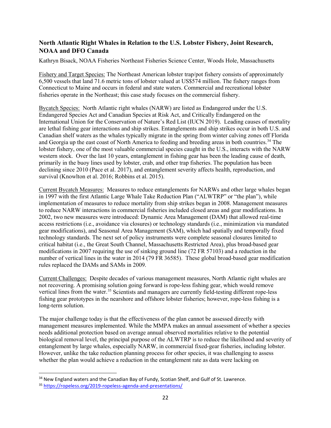#### <span id="page-27-0"></span>**North Atlantic Right Whales in Relation to the U.S. Lobster Fishery, Joint Research, NOAA and DFO Canada**

Kathryn Bisack, NOAA Fisheries Northeast Fisheries Science Center, Woods Hole, Massachusetts

Fishery and Target Species: The Northeast American lobster trap/pot fishery consists of approximately 6,500 vessels that land 71.6 metric tons of lobster valued at US\$574 million. The fishery ranges from Connecticut to Maine and occurs in federal and state waters. Commercial and recreational lobster fisheries operate in the Northeast; this case study focuses on the commercial fishery.

Bycatch Species: North Atlantic right whales (NARW) are listed as Endangered under the U.S. Endangered Species Act and Canadian Species at Risk Act, and Critically Endangered on the International Union for the Conservation of Nature's Red List (IUCN 2019). Leading causes of mortality are lethal fishing gear interactions and ship strikes. Entanglements and ship strikes occur in both U.S. and Canadian shelf waters as the whales typically migrate in the spring from winter calving zones off Florida and Georgia up the east coast of North America to feeding and breeding areas in both countries[.34](#page-27-1) The lobster fishery, one of the most valuable commercial species caught in the U.S., interacts with the NARW western stock. Over the last 10 years, entanglement in fishing gear has been the leading cause of death, primarily in the buoy lines used by lobster, crab, and other trap fisheries. The population has been declining since 2010 (Pace et al. 2017), and entanglement severity affects health, reproduction, and survival (Knowlton et al. 2016; Robbins et al. 2015).

Current Bycatch Measures: Measures to reduce entanglements for NARWs and other large whales began in 1997 with the first Atlantic Large Whale Take Reduction Plan ("ALWTRP" or "the plan"), while implementation of measures to reduce mortality from ship strikes began in 2008. Management measures to reduce NARW interactions in commercial fisheries included closed areas and gear modifications. In 2002, two new measures were introduced: Dynamic Area Management (DAM) that allowed real-time access restrictions (i.e., avoidance via closures) or technology standards (i.e., minimization via mandated gear modifications), and Seasonal Area Management (SAM), which had spatially and temporally fixed technology standards. The next set of policy instruments were complete seasonal closures limited to critical habitat (i.e., the Great South Channel, Massachusetts Restricted Area), plus broad-based gear modifications in 2007 requiring the use of sinking ground line (72 FR 57103) and a reduction in the number of vertical lines in the water in 2014 (79 FR 36585). These global broad-based gear modification rules replaced the DAMs and SAMs in 2009.

Current Challenges: Despite decades of various management measures, North Atlantic right whales are not recovering. A promising solution going forward is rope-less fishing gear, which would remove vertical lines from the water.<sup>[35](#page-27-2)</sup> Scientists and managers are currently field-testing different rope-less fishing gear prototypes in the nearshore and offshore lobster fisheries; however, rope-less fishing is a long-term solution.

The major challenge today is that the effectiveness of the plan cannot be assessed directly with management measures implemented. While the MMPA makes an annual assessment of whether a species needs additional protection based on average annual observed mortalities relative to the potential biological removal level, the principal purpose of the ALWTRP is to reduce the likelihood and severity of entanglement by large whales, especially NARW, in commercial fixed-gear fisheries, including lobster. However, unlike the take reduction planning process for other species, it was challenging to assess whether the plan would achieve a reduction in the entanglement rate as data were lacking on

<span id="page-27-1"></span><sup>&</sup>lt;sup>34</sup> New England waters and the Canadian Bay of Fundy, Scotian Shelf, and Gulf of St. Lawrence.

<span id="page-27-2"></span><sup>35</sup> <https://ropeless.org/2019-ropeless-agenda-and-presentations/>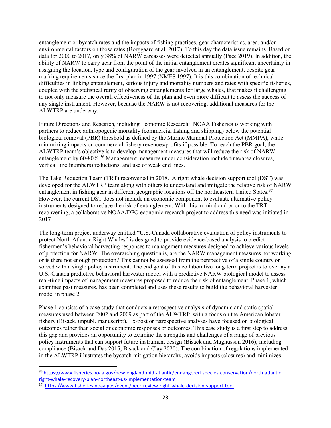entanglement or bycatch rates and the impacts of fishing practices, gear characteristics, area, and/or environmental factors on those rates (Borggaard et al. 2017). To this day the data issue remains. Based on data for 2000 to 2017, only 38% of NARW carcasses were detected annually (Pace 2019). In addition, the ability of NARW to carry gear from the point of the initial entanglement creates significant uncertainty in assigning the location, type and configuration of the gear involved in an entanglement, despite gear marking requirements since the first plan in 1997 (NMFS 1997). It is this combination of technical difficulties in linking entanglement, serious injury and mortality numbers and rates with specific fisheries, coupled with the statistical rarity of observing entanglements for large whales, that makes it challenging to not only measure the overall effectiveness of the plan and even more difficult to assess the success of any single instrument. However, because the NARW is not recovering, additional measures for the ALWTRP are underway.

Future Directions and Research, including Economic Research: NOAA Fisheries is working with partners to reduce anthropogenic mortality (commercial fishing and shipping) below the potential biological removal (PBR) threshold as defined by the Marine Mammal Protection Act (MMPA), while minimizing impacts on commercial fishery revenues/profits if possible. To reach the PBR goal, the ALWTRP team's objective is to develop management measures that will reduce the risk of NARW entanglement by 60-80%.<sup>[36](#page-28-0)</sup> Management measures under consideration include time/area closures, vertical line (numbers) reductions, and use of weak end lines.

The Take Reduction Team (TRT) reconvened in 2018. A right whale decision support tool (DST) was developed for the ALWTRP team along with others to understand and mitigate the relative risk of NARW entanglement in fishing gear in different geographic locations off the northeastern United States.<sup>[37](#page-28-1)</sup> However, the current DST does not include an economic component to evaluate alternative policy instruments designed to reduce the risk of entanglement. With this in mind and prior to the TRT reconvening, a collaborative NOAA/DFO economic research project to address this need was initiated in 2017.

The long-term project underway entitled "U.S.-Canada collaborative evaluation of policy instruments to protect North Atlantic Right Whales" is designed to provide evidence-based analysis to predict fishermen's behavioral harvesting responses to management measures designed to achieve various levels of protection for NARW. The overarching question is, are the NARW management measures not working or is there not enough protection? This cannot be assessed from the perspective of a single country or solved with a single policy instrument. The end goal of this collaborative long-term project is to overlay a U.S.-Canada predictive behavioral harvester model with a predictive NARW biological model to assess real-time impacts of management measures proposed to reduce the risk of entanglement. Phase 1, which examines past measures, has been completed and uses these results to build the behavioral harvester model in phase 2.

Phase 1 consists of a case study that conducts a retrospective analysis of dynamic and static spatial measures used between 2002 and 2009 as part of the ALWTRP, with a focus on the American lobster fishery (Bisack, unpubl. manuscript). Ex-post or retrospective analyses have focused on biological outcomes rather than social or economic responses or outcomes. This case study is a first step to address this gap and provides an opportunity to examine the strengths and challenges of a range of previous policy instruments that can support future instrument design (Bisack and Magnusson 2016), including compliance (Bisack and Das 2015; Bisack and Clay 2020). The combination of regulations implemented in the ALWTRP illustrates the bycatch mitigation hierarchy, avoids impacts (closures) and minimizes

<span id="page-28-0"></span> <sup>36</sup> [https://www.fisheries.noaa.gov/new-england-mid-atlantic/endangered-species-conservation/north-atlantic](https://www.fisheries.noaa.gov/new-england-mid-atlantic/endangered-species-conservation/north-atlantic-right-whale-recovery-plan-northeast-us-implementation-team)[right-whale-recovery-plan-northeast-us-implementation-team](https://www.fisheries.noaa.gov/new-england-mid-atlantic/endangered-species-conservation/north-atlantic-right-whale-recovery-plan-northeast-us-implementation-team)

<span id="page-28-1"></span><sup>37</sup> <https://www.fisheries.noaa.gov/event/peer-review-right-whale-decision-support-tool>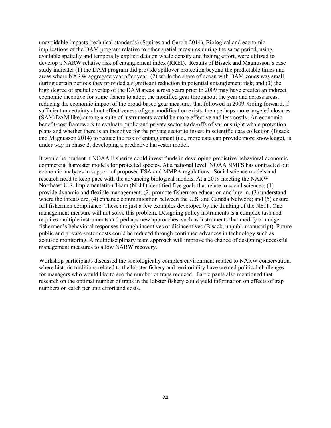unavoidable impacts (technical standards) (Squires and Garcia 2014). Biological and economic implications of the DAM program relative to other spatial measures during the same period, using available spatially and temporally explicit data on whale density and fishing effort, were utilized to develop a NARW relative risk of entanglement index (RREI). Results of Bisack and Magnusson's case study indicate: (1) the DAM program did provide spillover protection beyond the predictable times and areas where NARW aggregate year after year; (2) while the share of ocean with DAM zones was small, during certain periods they provided a significant reduction in potential entanglement risk; and (3) the high degree of spatial overlap of the DAM areas across years prior to 2009 may have created an indirect economic incentive for some fishers to adopt the modified gear throughout the year and across areas, reducing the economic impact of the broad-based gear measures that followed in 2009. Going forward, if sufficient uncertainty about effectiveness of gear modification exists, then perhaps more targeted closures (SAM/DAM like) among a suite of instruments would be more effective and less costly. An economic benefit-cost framework to evaluate public and private sector trade-offs of various right whale protection plans and whether there is an incentive for the private sector to invest in scientific data collection (Bisack and Magnusson 2014) to reduce the risk of entanglement (i.e., more data can provide more knowledge), is under way in phase 2, developing a predictive harvester model.

It would be prudent if NOAA Fisheries could invest funds in developing predictive behavioral economic commercial harvester models for protected species. At a national level, NOAA NMFS has contracted out economic analyses in support of proposed ESA and MMPA regulations. Social science models and research need to keep pace with the advancing biological models. At a 2019 meeting the NARW Northeast U.S. Implementation Team (NEIT) identified five goals that relate to social sciences: (1) provide dynamic and flexible management, (2) promote fishermen education and buy-in, (3) understand where the threats are, (4) enhance communication between the U.S. and Canada Network; and (5) ensure full fishermen compliance. These are just a few examples developed by the thinking of the NEIT. One management measure will not solve this problem. Designing policy instruments is a complex task and requires multiple instruments and perhaps new approaches, such as instruments that modify or nudge fishermen's behavioral responses through incentives or disincentives (Bisack, unpubl. manuscript). Future public and private sector costs could be reduced through continued advances in technology such as acoustic monitoring. A multidisciplinary team approach will improve the chance of designing successful management measures to allow NARW recovery.

Workshop participants discussed the sociologically complex environment related to NARW conservation, where historic traditions related to the lobster fishery and territoriality have created political challenges for managers who would like to see the number of traps reduced. Participants also mentioned that research on the optimal number of traps in the lobster fishery could yield information on effects of trap numbers on catch per unit effort and costs.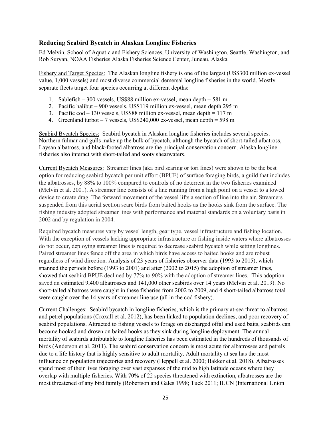#### <span id="page-30-0"></span>**Reducing Seabird Bycatch in Alaskan Longline Fisheries**

Ed Melvin, School of Aquatic and Fishery Sciences, University of Washington, Seattle, Washington, and Rob Suryan, NOAA Fisheries Alaska Fisheries Science Center, Juneau, Alaska

Fishery and Target Species: The Alaskan longline fishery is one of the largest (US\$300 million ex-vessel value, 1,000 vessels) and most diverse commercial demersal longline fisheries in the world. Mostly separate fleets target four species occurring at different depths:

- 1. Sablefish 300 vessels, US\$88 million ex-vessel, mean depth = 581 m
- 2. Pacific halibut 900 vessels, US\$119 million ex-vessel, mean depth 295 m
- 3. Pacific cod  $-130$  vessels, US\$88 million ex-vessel, mean depth  $= 117$  m
- 4. Greenland turbot  $-7$  vessels, US\$240,000 ex-vessel, mean depth  $=$  598 m

Seabird Bycatch Species: Seabird bycatch in Alaskan longline fisheries includes several species. Northern fulmar and gulls make up the bulk of bycatch, although the bycatch of short-tailed albatross, Laysan albatross, and black-footed albatross are the principal conservation concern. Alaska longline fisheries also interact with short-tailed and sooty shearwaters.

Current Bycatch Measures: Streamer lines (aka bird scaring or tori lines) were shown to be the best option for reducing seabird bycatch per unit effort (BPUE) of surface foraging birds, a guild that includes the albatrosses, by 88% to 100% compared to controls of no deterrent in the two fisheries examined (Melvin et al. 2001). A streamer line consists of a line running from a high point on a vessel to a towed device to create drag. The forward movement of the vessel lifts a section of line into the air. Streamers suspended from this aerial section scare birds from baited hooks as the hooks sink from the surface. The fishing industry adopted streamer lines with performance and material standards on a voluntary basis in 2002 and by regulation in 2004.

Required bycatch measures vary by vessel length, gear type, vessel infrastructure and fishing location. With the exception of vessels lacking appropriate infrastructure or fishing inside waters where albatrosses do not occur, deploying streamer lines is required to decrease seabird bycatch while setting longlines. Paired streamer lines fence off the area in which birds have access to baited hooks and are robust regardless of wind direction. Analysis of 23 years of fisheries observer data (1993 to 2015), which spanned the periods before (1993 to 2001) and after (2002 to 2015) the adoption of streamer lines, showed that seabird BPUE declined by 77% to 90% with the adoption of streamer lines. This adoption saved an estimated 9,400 albatrosses and 141,000 other seabirds over 14 years (Melvin et al. 2019). No short-tailed albatross were caught in these fisheries from 2002 to 2009, and 4 short-tailed albatross total were caught over the 14 years of streamer line use (all in the cod fishery).

Current Challenges: Seabird bycatch in longline fisheries, which is the primary at-sea threat to albatross and petrel populations (Croxall et al. 2012), has been linked to population declines, and poor recovery of seabird populations. Attracted to fishing vessels to forage on discharged offal and used baits, seabirds can become hooked and drown on baited hooks as they sink during longline deployment. The annual mortality of seabirds attributable to longline fisheries has been estimated in the hundreds of thousands of birds (Anderson et al. 2011). The seabird conservation concern is most acute for albatrosses and petrels due to a life history that is highly sensitive to adult mortality. Adult mortality at sea has the most influence on population trajectories and recovery (Heppell et al. 2000; Bakker et al. 2018). Albatrosses spend most of their lives foraging over vast expanses of the mid to high latitude oceans where they overlap with multiple fisheries. With 70% of 22 species threatened with extinction, albatrosses are the most threatened of any bird family (Robertson and Gales 1998; Tuck 2011; IUCN (International Union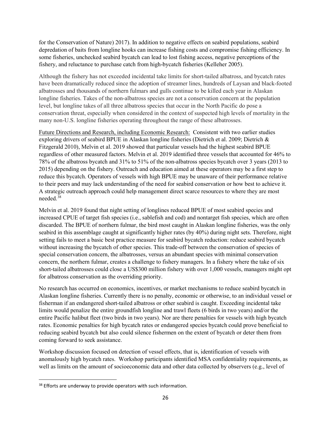for the Conservation of Nature) 2017). In addition to negative effects on seabird populations, seabird depredation of baits from longline hooks can increase fishing costs and compromise fishing efficiency. In some fisheries, unchecked seabird bycatch can lead to lost fishing access, negative perceptions of the fishery, and reluctance to purchase catch from high-bycatch fisheries (Kelleher 2005).

Although the fishery has not exceeded incidental take limits for short-tailed albatross, and bycatch rates have been dramatically reduced since the adoption of streamer lines, hundreds of Laysan and black-footed albatrosses and thousands of northern fulmars and gulls continue to be killed each year in Alaskan longline fisheries. Takes of the non-albatross species are not a conservation concern at the population level, but longline takes of all three albatross species that occur in the North Pacific do pose a conservation threat, especially when considered in the context of suspected high levels of mortality in the many non-U.S. longline fisheries operating throughout the range of these albatrosses.

Future Directions and Research, including Economic Research: Consistent with two earlier studies exploring drivers of seabird BPUE in Alaskan longline fisheries (Dietrich et al. 2009; Dietrich & Fitzgerald 2010), Melvin et al. 2019 showed that particular vessels had the highest seabird BPUE regardless of other measured factors. Melvin et al. 2019 identified three vessels that accounted for 46% to 78% of the albatross bycatch and 31% to 51% of the non-albatross species bycatch over 3 years (2013 to 2015) depending on the fishery. Outreach and education aimed at these operators may be a first step to reduce this bycatch. Operators of vessels with high BPUE may be unaware of their performance relative to their peers and may lack understanding of the need for seabird conservation or how best to achieve it. A strategic outreach approach could help management direct scarce resources to where they are most needed.[38](#page-31-0)

Melvin et al. 2019 found that night setting of longlines reduced BPUE of most seabird species and increased CPUE of target fish species (i.e., sablefish and cod) and nontarget fish species, which are often discarded. The BPUE of northern fulmar, the bird most caught in Alaskan longline fisheries, was the only seabird in this assemblage caught at significantly higher rates (by 40%) during night sets. Therefore, night setting fails to meet a basic best practice measure for seabird bycatch reduction: reduce seabird bycatch without increasing the bycatch of other species. This trade-off between the conservation of species of special conservation concern, the albatrosses, versus an abundant species with minimal conservation concern, the northern fulmar, creates a challenge to fishery managers. In a fishery where the take of six short-tailed albatrosses could close a US\$300 million fishery with over 1,000 vessels, managers might opt for albatross conservation as the overriding priority.

No research has occurred on economics, incentives, or market mechanisms to reduce seabird bycatch in Alaskan longline fisheries. Currently there is no penalty, economic or otherwise, to an individual vessel or fisherman if an endangered short-tailed albatross or other seabird is caught. Exceeding incidental take limits would penalize the entire groundfish longline and trawl fleets (6 birds in two years) and/or the entire Pacific halibut fleet (two birds in two years). Nor are there penalties for vessels with high bycatch rates. Economic penalties for high bycatch rates or endangered species bycatch could prove beneficial to reducing seabird bycatch but also could silence fishermen on the extent of bycatch or deter them from coming forward to seek assistance.

Workshop discussion focused on detection of vessel effects, that is, identification of vessels with anomalously high bycatch rates. Workshop participants identified MSA confidentiality requirements, as well as limits on the amount of socioeconomic data and other data collected by observers (e.g., level of

<span id="page-31-0"></span><sup>&</sup>lt;sup>38</sup> Efforts are underway to provide operators with such information.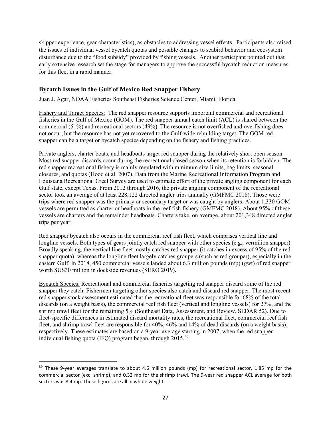skipper experience, gear characteristics), as obstacles to addressing vessel effects. Participants also raised the issues of individual vessel bycatch quotas and possible changes to seabird behavior and ecosystem disturbance due to the "food subsidy" provided by fishing vessels. Another participant pointed out that early extensive research set the stage for managers to approve the successful bycatch reduction measures for this fleet in a rapid manner.

#### <span id="page-32-0"></span>**Bycatch Issues in the Gulf of Mexico Red Snapper Fishery**

Juan J. Agar, NOAA Fisheries Southeast Fisheries Science Center, Miami, Florida

Fishery and Target Species: The red snapper resource supports important commercial and recreational fisheries in the Gulf of Mexico (GOM). The red snapper annual catch limit (ACL) is shared between the commercial (51%) and recreational sectors (49%). The resource is not overfished and overfishing does not occur, but the resource has not yet recovered to the Gulf-wide rebuilding target. The GOM red snapper can be a target or bycatch species depending on the fishery and fishing practices.

Private anglers, charter boats, and headboats target red snapper during the relatively short open season. Most red snapper discards occur during the recreational closed season when its retention is forbidden. The red snapper recreational fishery is mainly regulated with minimum size limits, bag limits, seasonal closures, and quotas (Hood et al. 2007). Data from the Marine Recreational Information Program and Louisiana Recreational Creel Survey are used to estimate effort of the private angling component for each Gulf state, except Texas. From 2012 through 2016, the private angling component of the recreational sector took an average of at least 228,122 directed angler trips annually (GMFMC 2018). Those were trips where red snapper was the primary or secondary target or was caught by anglers. About 1,330 GOM vessels are permitted as charter or headboats in the reef fish fishery (GMFMC 2018). About 95% of these vessels are charters and the remainder headboats. Charters take, on average, about 201,348 directed angler trips per year.

Red snapper bycatch also occurs in the commercial reef fish fleet, which comprises vertical line and longline vessels. Both types of gears jointly catch red snapper with other species (e.g., vermilion snapper). Broadly speaking, the vertical line fleet mostly catches red snapper (it catches in excess of 95% of the red snapper quota), whereas the longline fleet largely catches groupers (such as red grouper), especially in the eastern Gulf. In 2018, 450 commercial vessels landed about 6.3 million pounds (mp) (gwt) of red snapper worth \$US30 million in dockside revenues (SERO 2019).

Bycatch Species: Recreational and commercial fisheries targeting red snapper discard some of the red snapper they catch. Fishermen targeting other species also catch and discard red snapper. The most recent red snapper stock assessment estimated that the recreational fleet was responsible for 68% of the total discards (on a weight basis), the commercial reef fish fleet (vertical and longline vessels) for 27%, and the shrimp trawl fleet for the remaining 5% (Southeast Data, Assessment, and Review, SEDAR 52). Due to fleet-specific differences in estimated discard mortality rates, the recreational fleet, commercial reef fish fleet, and shrimp trawl fleet are responsible for 40%, 46% and 14% of dead discards (on a weight basis), respectively. These estimates are based on a 9-year average starting in 2007, when the red snapper individual fishing quota (IFQ) program began, through 2015.[39](#page-32-1)

<span id="page-32-1"></span><sup>&</sup>lt;sup>39</sup> These 9-year averages translate to about 4.6 million pounds (mp) for recreational sector, 1.85 mp for the commercial sector (exc. shrimp), and 0.32 mp for the shrimp trawl. The 9-year red snapper ACL average for both sectors was 8.4 mp. These figures are all in whole weight.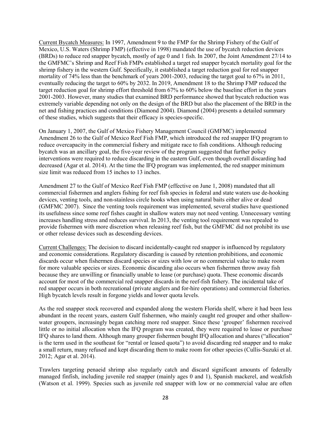Current Bycatch Measures: In 1997, Amendment 9 to the FMP for the Shrimp Fishery of the Gulf of Mexico, U.S. Waters (Shrimp FMP) (effective in 1998) mandated the use of bycatch reduction devices (BRDs) to reduce red snapper bycatch, mostly of age 0 and 1 fish. In 2007, the Joint Amendment 27/14 to the GMFMC's Shrimp and Reef Fish FMPs established a target red snapper bycatch mortality goal for the shrimp fishery in the western Gulf. Specifically, it established a target reduction goal for red snapper mortality of 74% less than the benchmark of years 2001-2003, reducing the target goal to 67% in 2011, eventually reducing the target to 60% by 2032. In 2019, Amendment 18 to the Shrimp FMP reduced the target reduction goal for shrimp effort threshold from 67% to 60% below the baseline effort in the years 2001-2003. However, many studies that examined BRD performance showed that bycatch reduction was extremely variable depending not only on the design of the BRD but also the placement of the BRD in the net and fishing practices and conditions (Diamond 2004). Diamond (2004) presents a detailed summary of these studies, which suggests that their efficacy is species-specific.

On January 1, 2007, the Gulf of Mexico Fishery Management Council (GMFMC) implemented Amendment 26 to the Gulf of Mexico Reef Fish FMP, which introduced the red snapper IFQ program to reduce overcapacity in the commercial fishery and mitigate race to fish conditions. Although reducing bycatch was an ancillary goal, the five-year review of the program suggested that further policy interventions were required to reduce discarding in the eastern Gulf, even though overall discarding had decreased (Agar et al. 2014). At the time the IFQ program was implemented, the red snapper minimum size limit was reduced from 15 inches to 13 inches.

Amendment 27 to the Gulf of Mexico Reef Fish FMP (effective on June 1, 2008) mandated that all commercial fishermen and anglers fishing for reef fish species in federal and state waters use de-hooking devices, venting tools, and non-stainless circle hooks when using natural baits either alive or dead (GMFMC 2007). Since the venting tools requirement was implemented, several studies have questioned its usefulness since some reef fishes caught in shallow waters may not need venting. Unnecessary venting increases handling stress and reduces survival. In 2013, the venting tool requirement was repealed to provide fishermen with more discretion when releasing reef fish, but the GMFMC did not prohibit its use or other release devices such as descending devices.

Current Challenges: The decision to discard incidentally-caught red snapper is influenced by regulatory and economic considerations. Regulatory discarding is caused by retention prohibitions, and economic discards occur when fishermen discard species or sizes with low or no commercial value to make room for more valuable species or sizes. Economic discarding also occurs when fishermen throw away fish because they are unwilling or financially unable to lease (or purchase) quota. These economic discards account for most of the commercial red snapper discards in the reef-fish fishery. The incidental take of red snapper occurs in both recreational (private anglers and for-hire operations) and commercial fisheries. High bycatch levels result in forgone yields and lower quota levels.

As the red snapper stock recovered and expanded along the western Florida shelf, where it had been less abundant in the recent years, eastern Gulf fishermen, who mainly caught red grouper and other shallowwater groupers, increasingly began catching more red snapper. Since these 'grouper' fishermen received little or no initial allocation when the IFQ program was created, they were required to lease or purchase IFQ shares to land them. Although many grouper fishermen bought IFQ allocation and shares ("allocation" is the term used in the southeast for "rental or leased quota") to avoid discarding red snapper and to make a small return, many refused and kept discarding them to make room for other species (Cullis-Suzuki et al. 2012; Agar et al. 2014).

Trawlers targeting penaeid shrimp also regularly catch and discard significant amounts of federally managed finfish, including juvenile red snapper (mainly ages 0 and 1), Spanish mackerel, and weakfish (Watson et al. 1999). Species such as juvenile red snapper with low or no commercial value are often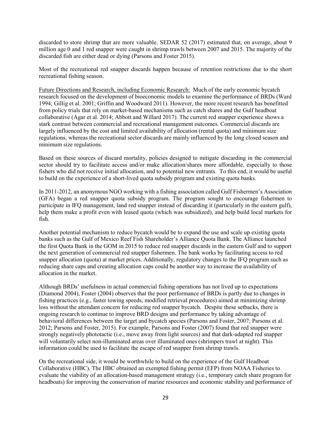discarded to store shrimp that are more valuable. SEDAR 52 (2017) estimated that, on average, about 9 million age 0 and 1 red snapper were caught in shrimp trawls between 2007 and 2015. The majority of the discarded fish are either dead or dying (Parsons and Foster 2015).

Most of the recreational red snapper discards happen because of retention restrictions due to the short recreational fishing season.

Future Directions and Research, including Economic Research: Much of the early economic bycatch research focused on the development of bioeconomic models to examine the performance of BRDs (Ward 1994; Gillig et al. 2001; Griffin and Woodward 2011). However, the more recent research has benefitted from policy trials that rely on market-based mechanisms such as catch shares and the Gulf headboat collaborative (Agar et al. 2014; Abbott and Willard 2017). The current red snapper experience shows a stark contrast between commercial and recreational management outcomes. Commercial discards are largely influenced by the cost and limited availability of allocation (rental quota) and minimum size regulations, whereas the recreational sector discards are mainly influenced by the long closed season and minimum size regulations.

Based on these sources of discard mortality, policies designed to mitigate discarding in the commercial sector should try to facilitate access and/or make allocation/shares more affordable, especially to those fishers who did not receive initial allocation, and to potential new entrants. To this end, it would be useful to build on the experience of a short-lived quota subsidy program and existing quota banks.

In 2011-2012, an anonymous NGO working with a fishing association called Gulf Fishermen's Association (GFA) began a red snapper quota subsidy program. The program sought to encourage fishermen to participate in IFQ management, land red snapper instead of discarding it (particularly in the eastern gulf), help them make a profit even with leased quota (which was subsidized), and help build local markets for fish.

Another potential mechanism to reduce bycatch would be to expand the use and scale up existing quota banks such as the Gulf of Mexico Reef Fish Shareholder's Alliance Quota Bank. The Alliance launched the first Quota Bank in the GOM in 2015 to reduce red snapper discards in the eastern Gulf and to support the next generation of commercial red snapper fishermen. The bank works by facilitating access to red snapper allocation (quota) at market prices. Additionally, regulatory changes to the IFQ program such as reducing share caps and creating allocation caps could be another way to increase the availability of allocation in the market.

Although BRDs' usefulness in actual commercial fishing operations has not lived up to expectations (Diamond 2004), Foster (2004) observes that the poor performance of BRDs is partly due to changes in fishing practices (e.g., faster towing speeds, modified retrieval procedures) aimed at minimizing shrimp loss without the attendant concern for reducing red snapper bycatch. Despite these setbacks, there is ongoing research to continue to improve BRD designs and performance by taking advantage of behavioral differences between the target and bycatch species (Parsons and Foster, 2007; Parsons et al. 2012; Parsons and Foster, 2015). For example, Parsons and Foster (2007) found that red snapper were strongly negatively phototactic (i.e., move away from light sources) and that dark-adapted red snapper will voluntarily select non-illuminated areas over illuminated ones (shrimpers trawl at night). This information could be used to facilitate the escape of red snapper from shrimp trawls.

On the recreational side, it would be worthwhile to build on the experience of the Gulf Headboat Collaborative (HBC). The HBC obtained an exempted fishing permit (EFP) from NOAA Fisheries to evaluate the viability of an allocation-based management strategy (i.e., temporary catch share program for headboats) for improving the conservation of marine resources and economic stability and performance of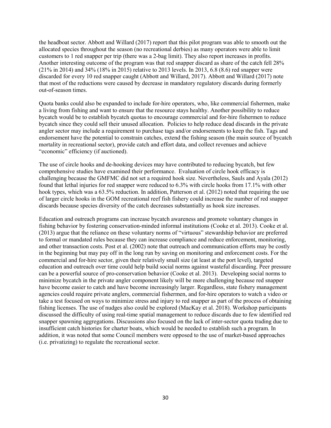the headboat sector. Abbott and Willard (2017) report that this pilot program was able to smooth out the allocated species throughout the season (no recreational derbies) as many operators were able to limit customers to 1 red snapper per trip (there was a 2-bag limit). They also report increases in profits. Another interesting outcome of the program was that red snapper discard as share of the catch fell 28% (21% in 2014) and 34% (18% in 2015) relative to 2013 levels. In 2013, 6.8 (8.6) red snapper were discarded for every 10 red snapper caught (Abbott and Willard, 2017). Abbott and Willard (2017) note that most of the reductions were caused by decrease in mandatory regulatory discards during formerly out-of-season times.

Quota banks could also be expanded to include for-hire operators, who, like commercial fishermen, make a living from fishing and want to ensure that the resource stays healthy. Another possibility to reduce bycatch would be to establish bycatch quotas to encourage commercial and for-hire fishermen to reduce bycatch since they could sell their unused allocation. Policies to help reduce dead discards in the private angler sector may include a requirement to purchase tags and/or endorsements to keep the fish. Tags and endorsement have the potential to constrain catches, extend the fishing season (the main source of bycatch mortality in recreational sector), provide catch and effort data, and collect revenues and achieve "economic" efficiency (if auctioned).

The use of circle hooks and de-hooking devices may have contributed to reducing bycatch, but few comprehensive studies have examined their performance. Evaluation of circle hook efficacy is challenging because the GMFMC did not set a required hook size. Nevertheless, Sauls and Ayala (2012) found that lethal injuries for red snapper were reduced to 6.3% with circle hooks from 17.1% with other hook types, which was a 63.5% reduction. In addition, Patterson et al. (2012) noted that requiring the use of larger circle hooks in the GOM recreational reef fish fishery could increase the number of red snapper discards because species diversity of the catch decreases substantially as hook size increases.

Education and outreach programs can increase bycatch awareness and promote voluntary changes in fishing behavior by fostering conservation-minded informal institutions (Cooke et al. 2013). Cooke et al. (2013) argue that the reliance on these voluntary norms of "virtuous" stewardship behavior are preferred to formal or mandated rules because they can increase compliance and reduce enforcement, monitoring, and other transaction costs. Post et al. (2002) note that outreach and communication efforts may be costly in the beginning but may pay off in the long run by saving on monitoring and enforcement costs. For the commercial and for-hire sector, given their relatively small size (at least at the port level), targeted education and outreach over time could help build social norms against wasteful discarding. Peer pressure can be a powerful source of pro-conservation behavior (Cooke et al. 2013). Developing social norms to minimize bycatch in the private angler component likely will be more challenging because red snapper have become easier to catch and have become increasingly larger. Regardless, state fishery management agencies could require private anglers, commercial fishermen, and for-hire operators to watch a video or take a test focused on ways to minimize stress and injury to red snapper as part of the process of obtaining fishing licenses. The use of nudges also could be explored (MacKay et al. 2018). Workshop participants discussed the difficulty of using real-time spatial management to reduce discards due to few identified red snapper spawning aggregations. Discussions also focused on the lack of inter-sector quota trading due to insufficient catch histories for charter boats, which would be needed to establish such a program. In addition, it was noted that some Council members were opposed to the use of market-based approaches (i.e. privatizing) to regulate the recreational sector.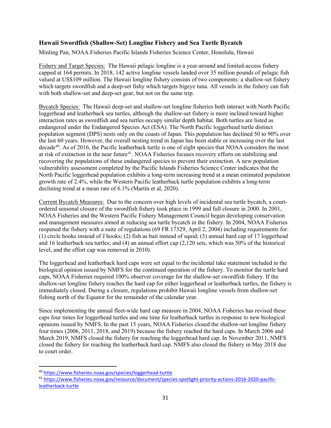#### <span id="page-36-0"></span>**Hawaii Swordfish (Shallow-Set) Longline Fishery and Sea Turtle Bycatch**

Minling Pan, NOAA Fisheries Pacific Islands Fisheries Science Center, Honolulu, Hawaii

Fishery and Target Species: The Hawaii pelagic longline is a year-around and limited-access fishery capped at 164 permits. In 2018, 142 active longline vessels landed over 35 million pounds of pelagic fish valued at US\$109 million. The Hawaii longline fishery consists of two components: a shallow-set fishery which targets swordfish and a deep-set fishy which targets bigeye tuna. All vessels in the fishery can fish with both shallow-set and deep-set gear, but not on the same trip.

Bycatch Species: The Hawaii deep-set and shallow-set longline fisheries both interact with North Pacific loggerhead and leatherback sea turtles, although the shallow-set fishery is more inclined toward higher interaction rates as swordfish and sea turtles occupy similar depth habitat. Both turtles are listed as endangered under the Endangered Species Act (ESA). The North Pacific loggerhead turtle distinct population segment (DPS) nests only on the coasts of Japan. This population has declined 50 to 90% over the last 60 years. However, the overall nesting trend in Japan has been stable or increasing over the last decade<sup>[40](#page-36-1)</sup>. As of 2016, the Pacific leatherback turtle is one of eight species that NOAA considers the most at risk of extinction in the near future<sup>[41](#page-36-2)</sup>. NOAA Fisheries focuses recovery efforts on stabilizing and recovering the populations of these endangered species to prevent their extinction. A new population vulnerability assessment completed by the Pacific Islands Fisheries Science Center indicates that the North Pacific loggerhead population exhibits a long-term increasing trend at a mean estimated population growth rate of 2.4%, while the Western Pacific leatherback turtle population exhibits a long-term declining trend at a mean rate of 6.1% (Martin et al, 2020).

Current Bycatch Measures: Due to the concern over high levels of incidental sea turtle bycatch, a courtordered seasonal closure of the swordfish fishery took place in 1999 and full closure in 2000. In 2001, NOAA Fisheries and the Western Pacific Fishery Management Council began developing conservation and management measures aimed at reducing sea turtle bycatch in the fishery. In 2004, NOAA Fisheries reopened the fishery with a suite of regulations (69 FR 17329, April 2, 2004) including requirements for: (1) circle hooks instead of J hooks; (2) fish as bait instead of squid; (3) annual hard cap of 17 loggerhead and 16 leatherback sea turtles; and (4) an annual effort cap (2,120 sets, which was 50% of the historical level, and the effort cap was removed in 2010).

The loggerhead and leatherback hard caps were set equal to the incidental take statement included in the biological opinion issued by NMFS for the continued operation of the fishery. To monitor the turtle hard caps, NOAA Fisheries required 100% observer coverage for the shallow-set swordfish fishery. If the shallow-set longline fishery reaches the hard cap for either loggerhead or leatherback turtles, the fishery is immediately closed. During a closure, regulations prohibit Hawaii longline vessels from shallow-set fishing north of the Equator for the remainder of the calendar year.

Since implementing the annual fleet-wide hard cap measure in 2004, NOAA Fisheries has revised these caps four times for loggerhead turtles and one time for leatherback turtles in response to new biological opinions issued by NMFS. In the past 15 years, NOAA Fisheries closed the shallow-set longline fishery four times (2006, 2011, 2018, and 2019) because the fishery reached the hard caps. In March 2006 and March 2019, NMFS closed the fishery for reaching the loggerhead hard cap. In November 2011, NMFS closed the fishery for reaching the leatherback hard cap. NMFS also closed the fishery in May 2018 due to court order.

<span id="page-36-1"></span> <sup>40</sup> <https://www.fisheries.noaa.gov/species/loggerhead-turtle>

<span id="page-36-2"></span><sup>41</sup> [https://www.fisheries.noaa.gov/resource/document/species-spotlight-priority-actions-2016-2020-pacific](https://www.fisheries.noaa.gov/resource/document/species-spotlight-priority-actions-2016-2020-pacific-leatherback-turtle)[leatherback-turtle](https://www.fisheries.noaa.gov/resource/document/species-spotlight-priority-actions-2016-2020-pacific-leatherback-turtle)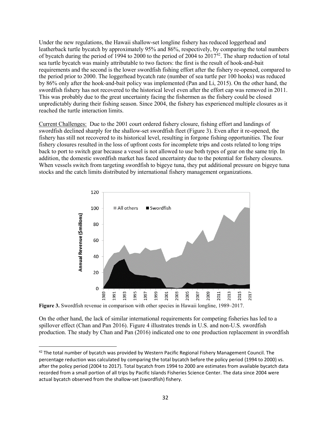Under the new regulations, the Hawaii shallow-set longline fishery has reduced loggerhead and leatherback turtle bycatch by approximately 95% and 86%, respectively, by comparing the total numbers of bycatch during the period of 1994 to 2000 to the period of 2004 to 2017[42.](#page-37-0) The sharp reduction of total sea turtle bycatch was mainly attributable to two factors: the first is the result of hook-and-bait requirements and the second is the lower swordfish fishing effort after the fishery re-opened, compared to the period prior to 2000. The loggerhead bycatch rate (number of sea turtle per 100 hooks) was reduced by 86% only after the hook-and-bait policy was implemented (Pan and Li, 2015). On the other hand, the swordfish fishery has not recovered to the historical level even after the effort cap was removed in 2011. This was probably due to the great uncertainty facing the fishermen as the fishery could be closed unpredictably during their fishing season. Since 2004, the fishery has experienced multiple closures as it reached the turtle interaction limits.

Current Challenges: Due to the 2001 court ordered fishery closure, fishing effort and landings of swordfish declined sharply for the shallow-set swordfish fleet (Figure 3). Even after it re-opened, the fishery has still not recovered to its historical level, resulting in forgone fishing opportunities. The four fishery closures resulted in the loss of upfront costs for incomplete trips and costs related to long trips back to port to switch gear because a vessel is not allowed to use both types of gear on the same trip. In addition, the domestic swordfish market has faced uncertainty due to the potential for fishery closures. When vessels switch from targeting swordfish to bigeye tuna, they put additional pressure on bigeye tuna stocks and the catch limits distributed by international fishery management organizations.



**Figure 3.** Swordfish revenue in comparison with other species in Hawaii longline, 1989–2017.

On the other hand, the lack of similar international requirements for competing fisheries has led to a spillover effect (Chan and Pan 2016). Figure 4 illustrates trends in U.S. and non-U.S. swordfish production. The study by Chan and Pan (2016) indicated one to one production replacement in swordfish

<span id="page-37-0"></span><sup>&</sup>lt;sup>42</sup> The total number of bycatch was provided by Western Pacific Regional Fishery Management Council. The percentage reduction was calculated by comparing the total bycatch before the policy period (1994 to 2000) vs. after the policy period (2004 to 2017). Total bycatch from 1994 to 2000 are estimates from available bycatch data recorded from a small portion of all trips by Pacific Islands Fisheries Science Center. The data since 2004 were actual bycatch observed from the shallow-set (swordfish) fishery.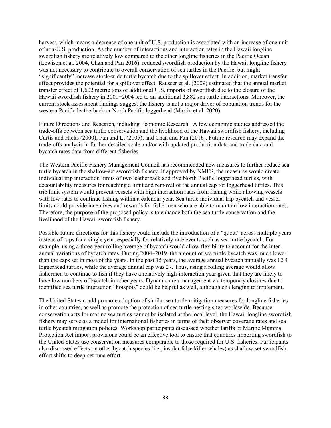harvest, which means a decrease of one unit of U.S. production is associated with an increase of one unit of non-U.S. production. As the number of interactions and interaction rates in the Hawaii longline swordfish fishery are relatively low compared to the other longline fisheries in the Pacific Ocean (Lewison et al. 2004, Chan and Pan 2016), reduced swordfish production by the Hawaii longline fishery was not necessary to contribute to overall conservation of sea turtles in the Pacific, but might "significantly" increase stock-wide turtle bycatch due to the spillover effect. In addition, market transfer effect provides the potential for a spillover effect. Rausser et al. (2009) estimated that the annual market transfer effect of 1,602 metric tons of additional U.S. imports of swordfish due to the closure of the Hawaii swordfish fishery in 2001−2004 led to an additional 2,882 sea turtle interactions. Moreover, the current stock assessment findings suggest the fishery is not a major driver of population trends for the western Pacific leatherback or North Pacific loggerhead (Martin et al. 2020).

Future Directions and Research, including Economic Research: A few economic studies addressed the trade-offs between sea turtle conservation and the livelihood of the Hawaii swordfish fishery, including Curtis and Hicks (2000), Pan and Li (2005), and Chan and Pan (2016). Future research may expand the trade-offs analysis in further detailed scale and/or with updated production data and trade data and bycatch rates data from different fisheries.

The Western Pacific Fishery Management Council has recommended new measures to further reduce sea turtle bycatch in the shallow-set swordfish fishery. If approved by NMFS, the measures would create individual trip interaction limits of two leatherback and five North Pacific loggerhead turtles, with accountability measures for reaching a limit and removal of the annual cap for loggerhead turtles. This trip limit system would prevent vessels with high interaction rates from fishing while allowing vessels with low rates to continue fishing within a calendar year. Sea turtle individual trip bycatch and vessel limits could provide incentives and rewards for fishermen who are able to maintain low interaction rates. Therefore, the purpose of the proposed policy is to enhance both the sea turtle conservation and the livelihood of the Hawaii swordfish fishery.

Possible future directions for this fishery could include the introduction of a "quota" across multiple years instead of caps for a single year, especially for relatively rare events such as sea turtle bycatch. For example, using a three-year rolling average of bycatch would allow flexibility to account for the interannual variations of bycatch rates. During 2004–2019, the amount of sea turtle bycatch was much lower than the caps set in most of the years. In the past 15 years, the average annual bycatch annually was 12.4 loggerhead turtles, while the average annual cap was 27. Thus, using a rolling average would allow fishermen to continue to fish if they have a relatively high-interaction year given that they are likely to have low numbers of bycatch in other years. Dynamic area management via temporary closures due to identified sea turtle interaction "hotspots" could be helpful as well, although challenging to implement.

The United States could promote adoption of similar sea turtle mitigation measures for longline fisheries in other countries, as well as promote the protection of sea turtle nesting sites worldwide. Because conservation acts for marine sea turtles cannot be isolated at the local level, the Hawaii longline swordfish fishery may serve as a model for international fisheries in terms of their observer coverage rates and sea turtle bycatch mitigation policies. Workshop participants discussed whether tariffs or Marine Mammal Protection Act import provisions could be an effective tool to ensure that countries importing swordfish to the United States use conservation measures comparable to those required for U.S. fisheries. Participants also discussed effects on other bycatch species (i.e., insular false killer whales) as shallow-set swordfish effort shifts to deep-set tuna effort.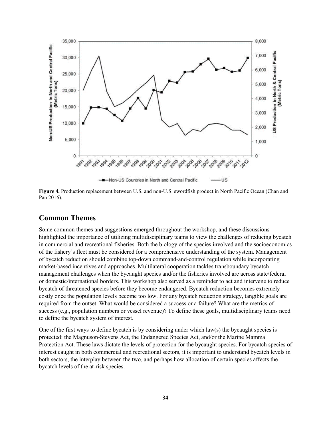

<span id="page-39-0"></span>**Figure 4.** Production replacement between U.S. and non-U.S. swordfish product in North Pacific Ocean (Chan and Pan 2016).

#### **Common Themes**

Some common themes and suggestions emerged throughout the workshop, and these discussions highlighted the importance of utilizing multidisciplinary teams to view the challenges of reducing bycatch in commercial and recreational fisheries. Both the biology of the species involved and the socioeconomics of the fishery's fleet must be considered for a comprehensive understanding of the system. Management of bycatch reduction should combine top-down command-and-control regulation while incorporating market-based incentives and approaches. Multilateral cooperation tackles transboundary bycatch management challenges when the bycaught species and/or the fisheries involved are across state/federal or domestic/international borders. This workshop also served as a reminder to act and intervene to reduce bycatch of threatened species before they become endangered. Bycatch reduction becomes extremely costly once the population levels become too low. For any bycatch reduction strategy, tangible goals are required from the outset. What would be considered a success or a failure? What are the metrics of success (e.g., population numbers or vessel revenue)? To define these goals, multidisciplinary teams need to define the bycatch system of interest.

One of the first ways to define bycatch is by considering under which law(s) the bycaught species is protected: the Magnuson-Stevens Act, the Endangered Species Act, and/or the Marine Mammal Protection Act. These laws dictate the levels of protection for the bycaught species. For bycatch species of interest caught in both commercial and recreational sectors, it is important to understand bycatch levels in both sectors, the interplay between the two, and perhaps how allocation of certain species affects the bycatch levels of the at-risk species.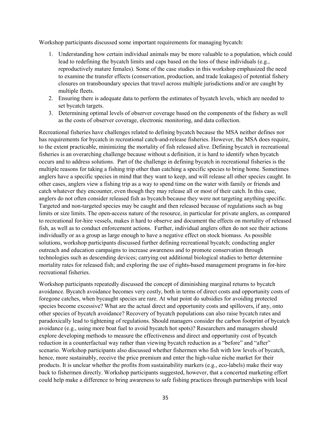Workshop participants discussed some important requirements for managing bycatch:

- 1. Understanding how certain individual animals may be more valuable to a population, which could lead to redefining the bycatch limits and caps based on the loss of these individuals (e.g., reproductively mature females). Some of the case studies in this workshop emphasized the need to examine the transfer effects (conservation, production, and trade leakages) of potential fishery closures on transboundary species that travel across multiple jurisdictions and/or are caught by multiple fleets.
- 2. Ensuring there is adequate data to perform the estimates of bycatch levels, which are needed to set bycatch targets.
- 3. Determining optimal levels of observer coverage based on the components of the fishery as well as the costs of observer coverage, electronic monitoring, and data collection.

Recreational fisheries have challenges related to defining bycatch because the MSA neither defines nor has requirements for bycatch in recreational catch-and-release fisheries. However, the MSA does require, to the extent practicable, minimizing the mortality of fish released alive. Defining bycatch in recreational fisheries is an overarching challenge because without a definition, it is hard to identify when bycatch occurs and to address solutions. Part of the challenge in defining bycatch in recreational fisheries is the multiple reasons for taking a fishing trip other than catching a specific species to bring home. Sometimes anglers have a specific species in mind that they want to keep, and will release all other species caught. In other cases, anglers view a fishing trip as a way to spend time on the water with family or friends and catch whatever they encounter, even though they may release all or most of their catch. In this case, anglers do not often consider released fish as bycatch because they were not targeting anything specific. Targeted and non-targeted species may be caught and then released because of regulations such as bag limits or size limits. The open-access nature of the resource, in particular for private anglers, as compared to recreational for-hire vessels, makes it hard to observe and document the effects on mortality of released fish, as well as to conduct enforcement actions. Further, individual anglers often do not see their actions individually or as a group as large enough to have a negative effect on stock biomass. As possible solutions, workshop participants discussed further defining recreational bycatch; conducting angler outreach and education campaigns to increase awareness and to promote conservation through technologies such as descending devices; carrying out additional biological studies to better determine mortality rates for released fish; and exploring the use of rights-based management programs in for-hire recreational fisheries.

Workshop participants repeatedly discussed the concept of diminishing marginal returns to bycatch avoidance. Bycatch avoidance becomes very costly, both in terms of direct costs and opportunity costs of foregone catches, when bycaught species are rare. At what point do subsidies for avoiding protected species become excessive? What are the actual direct and opportunity costs and spillovers, if any, onto other species of bycatch avoidance? Recovery of bycatch populations can also raise bycatch rates and paradoxically lead to tightening of regulations. Should managers consider the carbon footprint of bycatch avoidance (e.g., using more boat fuel to avoid bycatch hot spots)? Researchers and managers should explore developing methods to measure the effectiveness and direct and opportunity cost of bycatch reduction in a counterfactual way rather than viewing bycatch reduction as a "before" and "after" scenario. Workshop participants also discussed whether fishermen who fish with low levels of bycatch, hence, more sustainably, receive the price premium and enter the high-value niche market for their products. It is unclear whether the profits from sustainability markers (e.g., eco-labels) make their way back to fishermen directly. Workshop participants suggested, however, that a concerted marketing effort could help make a difference to bring awareness to safe fishing practices through partnerships with local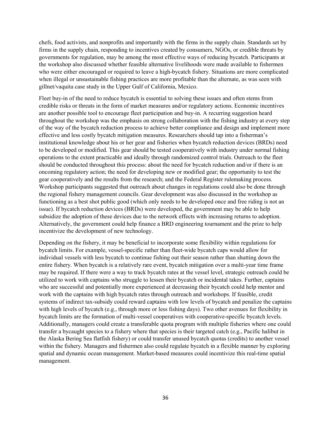chefs, food activists, and nonprofits and importantly with the firms in the supply chain. Standards set by firms in the supply chain, responding to incentives created by consumers, NGOs, or credible threats by governments for regulation, may be among the most effective ways of reducing bycatch. Participants at the workshop also discussed whether feasible alternative livelihoods were made available to fishermen who were either encouraged or required to leave a high-bycatch fishery. Situations are more complicated when illegal or unsustainable fishing practices are more profitable than the alternate, as was seen with gillnet/vaquita case study in the Upper Gulf of California, Mexico.

Fleet buy-in of the need to reduce bycatch is essential to solving these issues and often stems from credible risks or threats in the form of market measures and/or regulatory actions. Economic incentives are another possible tool to encourage fleet participation and buy-in. A recurring suggestion heard throughout the workshop was the emphasis on strong collaboration with the fishing industry at every step of the way of the bycatch reduction process to achieve better compliance and design and implement more effective and less costly bycatch mitigation measures. Researchers should tap into a fisherman's institutional knowledge about his or her gear and fisheries when bycatch reduction devices (BRDs) need to be developed or modified. This gear should be tested cooperatively with industry under normal fishing operations to the extent practicable and ideally through randomized control trials. Outreach to the fleet should be conducted throughout this process: about the need for bycatch reduction and/or if there is an oncoming regulatory action; the need for developing new or modified gear; the opportunity to test the gear cooperatively and the results from the research; and the Federal Register rulemaking process. Workshop participants suggested that outreach about changes in regulations could also be done through the regional fishery management councils. Gear development was also discussed in the workshop as functioning as a best shot public good (which only needs to be developed once and free riding is not an issue). If bycatch reduction devices (BRDs) were developed, the government may be able to help subsidize the adoption of these devices due to the network effects with increasing returns to adoption. Alternatively, the government could help finance a BRD engineering tournament and the prize to help incentivize the development of new technology.

Depending on the fishery, it may be beneficial to incorporate some flexibility within regulations for bycatch limits. For example, vessel-specific rather than fleet-wide bycatch caps would allow for individual vessels with less bycatch to continue fishing out their season rather than shutting down the entire fishery. When bycatch is a relatively rare event, bycatch mitigation over a multi-year time frame may be required. If there were a way to track bycatch rates at the vessel level, strategic outreach could be utilized to work with captains who struggle to lessen their bycatch or incidental takes. Further, captains who are successful and potentially more experienced at decreasing their bycatch could help mentor and work with the captains with high bycatch rates through outreach and workshops. If feasible, credit systems of indirect tax-subsidy could reward captains with low levels of bycatch and penalize the captains with high levels of bycatch (e.g., through more or less fishing days). Two other avenues for flexibility in bycatch limits are the formation of multi-vessel cooperatives with cooperative-specific bycatch levels. Additionally, managers could create a transferable quota program with multiple fisheries where one could transfer a bycaught species to a fishery where that species is their targeted catch (e.g., Pacific halibut in the Alaska Bering Sea flatfish fishery) or could transfer unused bycatch quotas (credits) to another vessel within the fishery. Managers and fishermen also could regulate bycatch in a flexible manner by exploring spatial and dynamic ocean management. Market-based measures could incentivize this real-time spatial management.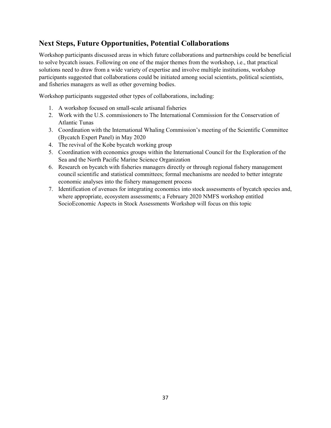### <span id="page-42-0"></span>**Next Steps, Future Opportunities, Potential Collaborations**

Workshop participants discussed areas in which future collaborations and partnerships could be beneficial to solve bycatch issues. Following on one of the major themes from the workshop, i.e., that practical solutions need to draw from a wide variety of expertise and involve multiple institutions, workshop participants suggested that collaborations could be initiated among social scientists, political scientists, and fisheries managers as well as other governing bodies.

Workshop participants suggested other types of collaborations, including:

- 1. A workshop focused on small-scale artisanal fisheries
- 2. Work with the U.S. commissioners to The International Commission for the Conservation of Atlantic Tunas
- 3. Coordination with the International Whaling Commission's meeting of the Scientific Committee (Bycatch Expert Panel) in May 2020
- 4. The revival of the Kobe bycatch working group
- 5. Coordination with economics groups within the International Council for the Exploration of the Sea and the North Pacific Marine Science Organization
- 6. Research on bycatch with fisheries managers directly or through regional fishery management council scientific and statistical committees; formal mechanisms are needed to better integrate economic analyses into the fishery management process
- 7. Identification of avenues for integrating economics into stock assessments of bycatch species and, where appropriate, ecosystem assessments; a February 2020 NMFS workshop entitled SocioEconomic Aspects in Stock Assessments Workshop will focus on this topic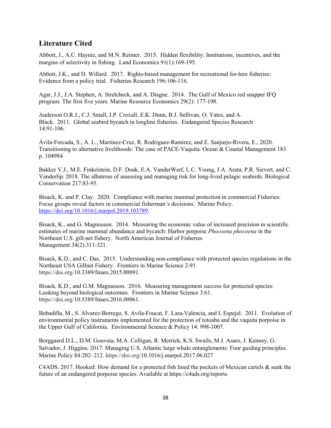### <span id="page-43-0"></span>**Literature Cited**

Abbott, J., A.C. Haynie, and M.N. Reimer. 2015. Hidden flexibility: Institutions, incentives, and the margins of selectivity in fishing. Land Economics 91(1):169-195.

Abbott, J.K., and D. Willard. 2017. Rights-based management for recreational for-hire fisheries: Evidence from a policy trial. Fisheries Research 196:106-116.

Agar, J.J., J.A. Stephen, A. Strelcheck, and A. Diagne. 2014. The Gulf of Mexico red snapper IFQ program: The first five years. Marine Resource Economics 29(2): 177-198.

Anderson O.R.J., C.J. Small, J.P. Croxall, E.K. Dunn, B.J. Sullivan, O. Yates, and A. Black. 2011. Global seabird bycatch in longline fisheries. Endangered Species Research 14:91-106.

Ávila-Forcada, S., A. L., Martinez-Cruz, R. Rodriguez-Ramirez, and E. Sanjurjo-Rivera, E., 2020. Transitioning to alternative livelihoods: The case of PACE-Vaquita. Ocean & Coastal Management 183 p. 104984

Bakker V.J., M.E. Finkelstein, D.F. Doak, E.A. VanderWerf, L.C. Young, J.A. Arata, P.R. Sievert, and C. Vanderlip. 2018. The albatross of assessing and managing risk for long-lived pelagic seabirds. Biological Conservation 217:83-95.

Bisack, K. and P. Clay. 2020. Compliance with marine mammal protection in commercial Fisheries: Focus groups reveal factors in commercial fisherman's decisions. Marine Policy. [https://doi.org/10.1016/j.marpol.2019.103789.](https://doi.org/10.1016/j.marpol.2019.103789)

Bisack, K., and G. Magnusson. 2014. Measuring the economic value of increased precision in scientific estimates of marine mammal abundance and bycatch: Harbor porpoise *Phocoena phocoena* in the Northeast U.S. gill-net fishery. North American Journal of Fisheries Management 34(2):311-321.

Bisack, K.D., and C. Das. 2015. Understanding non-compliance with protected species regulations in the Northeast USA Gillnet Fishery. Frontiers in Marine Science 2-91. https://doi.org/10.3389/fmars.2015.00091.

Bisack, K.D., and G.M. Magnusson. 2016. Measuring management success for protected species: Looking beyond biological outcomes. Frontiers in Marine Science 3:61. https://doi.org/10.3389/fmars.2016.00061.

Bobadilla, M., S. Alvarez-Borrego, S. Avila-Foucat, F. Lara-Valencia, and I. Espejel. 2011. Evolution of environmental policy instruments implemented for the protection of totoaba and the vaquita porpoise in the Upper Gulf of California. Environmental Science & Policy 14: 998-1007.

Borggaard D.L., D.M. Gouveia, M.A. Colligan, R. Merrick, K.S. Swails, M.J. Asaro, J. Kenney, G. Salvador, J. Higgins. 2017. Managing U.S. Atlantic large whale entanglements: Four guiding principles. Marine Policy 84:202–212. https://doi.org/10.1016/j.marpol.2017.06.027

C4ADS. 2017. Hooked: How demand for a protected fish lined the pockets of Mexican cartels & sunk the future of an endangered porpoise species. Available at https://c4ads.org/reports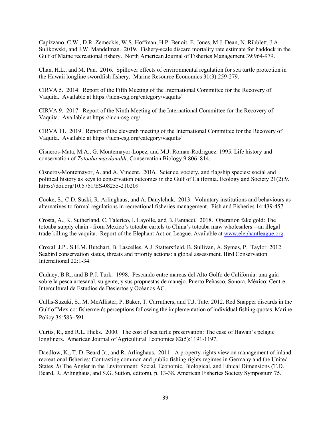Capizzano, C.W., D.R. Zemeckis, W.S. Hoffman, H.P. Benoit, E. Jones, M.J. Dean, N. Ribblett, J.A. Sulikowski, and J.W. Mandelman. 2019. Fishery-scale discard mortality rate estimate for haddock in the Gulf of Maine recreational fishery. North American Journal of Fisheries Management 39:964-979.

Chan, H.L., and M. Pan. 2016. Spillover effects of environmental regulation for sea turtle protection in the Hawaii longline swordfish fishery. Marine Resource Economics 31(3):259-279.

CIRVA 5. 2014. Report of the Fifth Meeting of the International Committee for the Recovery of Vaquita. Available at https://iucn-csg.org/category/vaquita/

CIRVA 9. 2017. Report of the Ninth Meeting of the International Committee for the Recovery of Vaquita. Available at https://iucn-csg.org/

CIRVA 11. 2019. Report of the eleventh meeting of the International Committee for the Recovery of Vaquita. Available at https://iucn-csg.org/category/vaquita/

Cisneros-Mata, M.A., G. Montemayor-Lopez, and M.J. Roman-Rodrıguez. 1995. Life history and conservation of *Totoaba macdonaldi*. Conservation Biology 9:806–814.

Cisneros-Montemayor, A. and A. Vincent. 2016. Science, society, and flagship species: social and political history as keys to conservation outcomes in the Gulf of California. Ecology and Society 21(2):9. https://doi.org/10.5751/ES-08255-210209

Cooke, S., C.D. Suski, R. Arlinghaus, and A. Danylchuk. 2013. Voluntary institutions and behaviours as alternatives to formal regulations in recreational fisheries management. Fish and Fisheries 14:439-457.

Crosta, A., K. Sutherland, C. Talerico, I. Layolle, and B. Fantacci. 2018. Operation fake gold: The totoaba supply chain - from Mexico's totoaba cartels to China's totoaba maw wholesalers – an illegal trade killing the vaquita. Report of the Elephant Action League. Available at www.elephantleague.org.

Croxall J.P., S.H.M. Butchart, B. Lascelles, A.J. Stattersfield, B. Sullivan, A. Symes, P. Taylor. 2012. Seabird conservation status, threats and priority actions: a global assessment. Bird Conservation International 22:1-34.

Cudney, B.R., and B.P.J. Turk. 1998. Pescando entre mareas del Alto Golfo de California: una guía sobre la pesca artesanal, su gente, y sus propuestas de manejo. Puerto Peñasco, Sonora, México: Centre Intercultural de Estudios de Desiertos y Océanos AC.

Cullis-Suzuki, S., M. McAllister, P. Baker, T. Carruthers, and T.J. Tate. 2012. Red Snapper discards in the Gulf of Mexico: fishermen's perceptions following the implementation of individual fishing quotas. Marine Policy 36:583–591

Curtis, R., and R.L. Hicks. 2000. The cost of sea turtle preservation: The case of Hawaii's pelagic longliners. American Journal of Agricultural Economics 82(5):1191-1197.

Daedlow, K., T. D. Beard Jr., and R. Arlinghaus. 2011. A property-rights view on management of inland recreational fisheries: Contrasting common and public fishing rights regimes in Germany and the United States. *In* The Angler in the Environment: Social, Economic, Biological, and Ethical Dimensions (T.D. Beard, R. Arlinghaus, and S.G. Sutton, editors), p. 13-38. American Fisheries Society Symposium 75.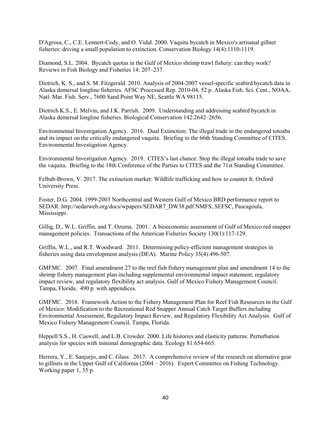D'Agrosa, C., C.E. Lennert-Cody, and O. Vidal. 2000. Vaquita bycatch in Mexico's artisanal gillnet fisheries: driving a small population to extinction. Conservation Biology 14(4):1110-1119.

Diamond, S.L. 2004. Bycatch quotas in the Gulf of Mexico shrimp trawl fishery: can they work? Reviews in Fish Biology and Fisheries 14: 207–237.

Dietrich, K. S., and S. M. Fitzgerald. 2010. Analysis of 2004-2007 vessel-specific seabird bycatch data in Alaska demersal longline fisheries. AFSC Processed Rep. 2010-04, 52 p. Alaska Fish. Sci. Cent., NOAA, Natl. Mar. Fish. Serv., 7600 Sand Point Way NE, Seattle WA 98115.

Dietrich K.S., E. Melvin, and J.K. Parrish. 2009. Understanding and addressing seabird bycatch in Alaska demersal longline fisheries. Biological Conservation 142:2642–2656.

Environmental Investigation Agency. 2016. Dual Extinction: The illegal trade in the endangered totoaba and its impact on the critically endangered vaquita. Briefing to the 66th Standing Committee of CITES. Environmental Investigation Agency.

Environmental Investigation Agency. 2019. CITES's last chance: Stop the illegal totoaba trade to save the vaquita. Briefing to the 18th Conference of the Parties to CITES and the 71st Standing Committee.

Felbab-Brown, V. 2017. The extinction market: Wildlife trafficking and how to counter It. Oxford University Press.

Foster, D.G. 2004. 1999-2003 Northcentral and Western Gulf of Mexico BRD performance report to SEDAR. [http://sedarweb.org/docs/wpapers/SEDAR7\\_DW38.pdf](http://sedarweb.org/docs/wpapers/SEDAR7_DW38.pdf) NMFS, SEFSC, Pascagoula, Mississippi.

Gillig, D., W.L. Griffin, and T. Ozuma. 2001. A bioeconomic assessment of Gulf of Mexico red snapper management policies. Transactions of the American Fisheries Society 130(1):117-129.

Griffin, W.L., and R.T. Woodward. 2011. Determining policy-efficient management strategies in fisheries using data envelopment analysis (DEA). Marine Policy 35(4):496-507.

GMFMC. 2007. Final amendment 27 to the reef fish fishery management plan and amendment 14 to the shrimp fishery management plan including supplemental environmental impact statement, regulatory impact review, and regulatory flexibility act analysis. Gulf of Mexico Fishery Management Council. Tampa, Florida. 490 p. with appendices.

GMFMC. 2018. Framework Action to the Fishery Management Plan for Reef Fish Resources in the Gulf of Mexico: Modification to the Recreational Red Snapper Annual Catch Target Buffers including Environmental Assessment, Regulatory Impact Review, and Regulatory Flexibility Act Analysis. Gulf of Mexico Fishery Management Council. Tampa, Florida.

Heppell S.S., H. Caswell, and L.B. Crowder. 2000. Life histories and elasticity patterns: Perturbation analysis for species with minimal demographic data. Ecology 81:654-665.

Herrera, Y., E. Sanjurjo, and C. Glass. 2017. A comprehensive review of the research on alternative gear to gillnets in the Upper Gulf of California (2004 – 2016). Expert Committee on Fishing Technology. Working paper 1, 35 p.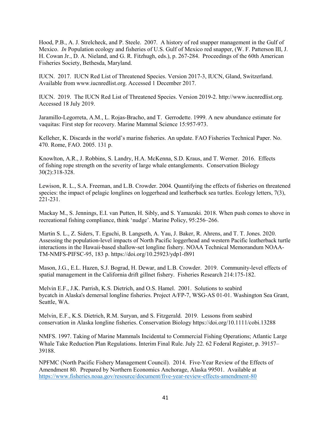Hood, P.B., A. J. Strelcheck, and P. Steele. 2007. A history of red snapper management in the Gulf of Mexico. *In* Population ecology and fisheries of U.S. Gulf of Mexico red snapper, (W. F. Patterson III, J. H. Cowan Jr., D. A. Nieland, and G. R. Fitzhugh, eds.), p. 267-284. Proceedings of the 60th American Fisheries Society, Bethesda, Maryland.

IUCN. 2017. IUCN Red List of Threatened Species. Version 2017-3, IUCN, Gland, Switzerland. Available from www.iucnredlist.org. Accessed 1 December 2017.

IUCN. 2019. The IUCN Red List of Threatened Species. Version 2019-2. http://www.iucnredlist.org. Accessed 18 July 2019.

Jaramillo‐Legorreta, A.M., L. Rojas‐Bracho, and T. Gerrodette. 1999. A new abundance estimate for vaquitas: First step for recovery. Marine Mammal Science 15:957-973.

Kelleher, K. Discards in the world's marine fisheries. An update. FAO Fisheries Technical Paper. No. 470. Rome, FAO. 2005. 131 p.

Knowlton, A.R., J. Robbins, S. Landry, H.A. McKenna, S.D. Kraus, and T. Werner. 2016. Effects of fishing rope strength on the severity of large whale entanglements. Conservation Biology 30(2):318-328.

Lewison, R. L., S.A. Freeman, and L.B. Crowder. 2004. Quantifying the effects of fisheries on threatened species: the impact of pelagic longlines on loggerhead and leatherback sea turtles. Ecology letters, 7(3), 221-231.

Mackay M., S. Jennings, E.I. van Putten, H. Sibly, and S. Yamazaki. 2018. When push comes to shove in recreational fishing compliance, think 'nudge'. Marine Policy, 95:256–266.

Martin S. L., Z. Siders, T. Eguchi, B. Langseth, A. Yau, J. Baker, R. Ahrens, and T. T. Jones. 2020. Assessing the population-level impacts of North Pacific loggerhead and western Pacific leatherback turtle interactions in the Hawaii-based shallow-set longline fishery. NOAA Technical Memorandum NOAA-TM-NMFS-PIFSC-95, 183 p. https://doi.org/10.25923/ydp1-f891

Mason, J.G., E.L. Hazen, S.J. Bograd, H. Dewar, and L.B. Crowder. 2019. Community-level effects of spatial management in the California drift gillnet fishery. Fisheries Research 214:175-182.

Melvin E.F., J.K. Parrish, K.S. Dietrich, and O.S. Hamel. 2001. Solutions to seabird bycatch in Alaska's demersal longline fisheries. Project A/FP-7, WSG-AS 01-01. Washington Sea Grant, Seattle, WA.

Melvin, E.F., K.S. Dietrich, R.M. Suryan, and S. Fitzgerald. 2019. Lessons from seabird conservation in Alaska longline fisheries. Conservation Biolog[y https://doi.org/10.1111/cobi.13288](https://doi.org/10.1111/cobi.13288)

NMFS. 1997. Taking of Marine Mammals Incidental to Commercial Fishing Operations; Atlantic Large Whale Take Reduction Plan Regulations. Interim Final Rule. July 22. 62 Federal Register, p. 39157– 39188.

NPFMC (North Pacific Fishery Management Council). 2014. Five-Year Review of the Effects of Amendment 80. Prepared by Northern Economics Anchorage, Alaska 99501. Available at https://www.fisheries.noaa.gov/resource/document/five-year-review-effects-amendment-80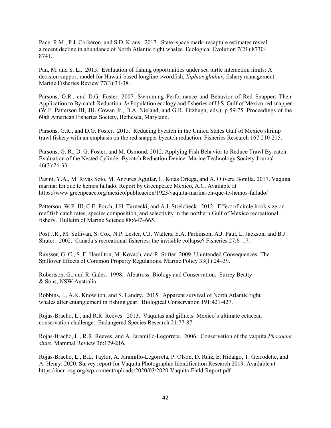Pace, R.M., P.J. Corkeron, and S.D. Kraus. 2017. State–space mark–recapture estimates reveal a recent decline in abundance of North Atlantic right whales. Ecological Evolution 7(21):8730- 8741.

Pan, M. and S. Li. 2015. Evaluation of fishing opportunities under sea turtle interaction limits: A decision support model for Hawaii-based longline swordfish, *Xiphias gladius*, fishery management. Marine Fisheries Review 77(3):31-38.

Parsons, G.R., and D.G. Foster. 2007. Swimming Performance and Behavior of Red Snapper: Their Application to By-catch Reduction. *In* Population ecology and fisheries of U.S. Gulf of Mexico red snapper (W.F. Patterson III, JH. Cowan Jr., D.A. Nieland, and G.R. Fitzhugh, eds.), p 59-75. Proceedings of the 60th American Fisheries Society, Bethesda, Maryland.

Parsons, G.R., and D.G. Foster. 2015. Reducing bycatch in the United States Gulf of Mexico shrimp trawl fishery with an emphasis on the red snapper bycatch reduction. Fisheries Research 167:210-215.

Parsons, G. R., D. G. Foster, and M. Osmond. 2012. Applying Fish Behavior to Reduce Trawl By-catch: Evaluation of the Nested Cylinder Bycatch Reduction Device. Marine Technology Society Journal 46(3):26-33.

Pasini, Y.A., M. Rivas Soto, M. Anzures Aguilar, L. Rojas Ortega, and A. Olivera Bonilla. 2017. Vaquita marina: En que te hemos fallado. Report by Greenpeace Mexico, A.C. Available at https://www.greenpeace.org/mexico/publicacion/1923/vaquita-marina-en-que-te-hemos-fallado/

Patterson, W.F. III, C.E. Porch, J.H. Tarnecki, and A.J. Strelcheck. 2012. Effect of circle hook size on reef fish catch rates, species composition, and selectivity in the northern Gulf of Mexico recreational fishery. Bulletin of Marine Science 88:647–665.

Post J.R., M. Sullivan, S. Cox, N.P. Lester, C.J. Walters, E.A. Parkinson, A.J. Paul, L. Jackson, and B.J. Shuter. 2002. Canada's recreational fisheries: the invisible collapse? Fisheries 27:6–17.

Rausser, G. C., S. F. Hamilton, M. Kovach, and R. Stifter. 2009. Unintended Consequences: The Spillover Effects of Common Property Regulations. Marine Policy 33(1):24–39.

Robertson, G., and R. Gales. 1998. Albatross: Biology and Conservation. Surrey Beatty & Sons, NSW Australia.

Robbins, J., A.K. Knowlton, and S. Landry. 2015. Apparent survival of North Atlantic right whales after entanglement in fishing gear. Biological Conservation 191:421-427.

Rojas-Bracho, L., and R.R. Reeves. 2013. Vaquitas and gillnets: Mexico's ultimate cetacean conservation challenge. Endangered Species Research 21:77-87.

Rojas-Bracho, L., R.R. Reeves, and A. Jaramillo-Legorreta. 2006. Conservation of the vaquita *Phocoena sinus*. Mammal Review 36:179-216.

Rojas-Bracho, L., B.L. Taylor, A. Jaramillo-Legorreta, P. Olson, D. Ruiz, E. Hidalgo, T. Gerrodette, and A. Henry. 2020. Survey report for Vaquita Photographic Identification Research 2019. Available at https://iucn-csg.org/wp-content/uploads/2020/03/2020-Vaquita-Field-Report.pdf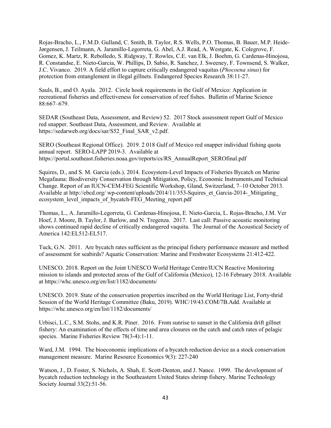Rojas-Bracho, L., F.M.D. Gulland, C. Smith, B. Taylor, R.S. Wells, P.O. Thomas, B. Bauer, M.P. Heide-Jørgensen, J. Teilmann, A. Jaramillo-Legorreta, G. Abel, A.J. Read, A. Westgate, K. Colegrove, F. Gomez, K. Martz, R. Rebolledo, S. Ridgway, T. Rowles, C.E. van Elk, J. Boehm, G. Cardenas-Hinojosa, R. Constandse, E. Nieto-Garcia, W. Phillips, D. Sabio, R. Sanchez, J. Sweeney, F. Townsend, S. Walker, J.C. Vivanco. 2019. A field effort to capture critically endangered vaquitas (*Phocoena sinus*) for protection from entanglement in illegal gillnets. Endangered Species Research 38:11-27.

Sauls, B., and O. Ayala. 2012. Circle hook requirements in the Gulf of Mexico: Application in recreational fisheries and effectiveness for conservation of reef fishes. Bulletin of Marine Science 88:667–679.

SEDAR (Southeast Data, Assessment, and Review) 52. 2017 Stock assessment report Gulf of Mexico red snapper. Southeast Data, Assessment, and Review. Available at https://sedarweb.org/docs/sar/S52\_Final\_SAR\_v2.pdf.

SERO (Southeast Regional Office). 2019. 2 018 Gulf of Mexico red snapper individual fishing quota annual report. SERO-LAPP 2019-3. Available at https://portal.southeast.fisheries.noaa.gov/reports/cs/RS\_AnnualReport\_SEROfinal.pdf

Squires, D., and S. M. Garcia (eds.). 2014. Ecosystem-Level Impacts of Fisheries Bycatch on Marine Megafauna: Biodiversity Conservation through Mitigation, Policy, Economic Instruments,and Technical Change. Report of an IUCN-CEM-FEG Scientific Workshop, Gland, Switzerland, 7–10 October 2013. Available at http://ebcd.org/ wp-content/uploads/2014/11/353-Squires et Garcia-2014- Mitigating ecosystem\_level\_impacts\_of\_bycatch-FEG\_Meeting\_report.pdf

Thomas, L., A. Jaramillo-Legorreta, G. Cardenas-Hinojosa, E. Nieto-Garcia, L. Rojas-Bracho, J.M. Ver Hoef, J. Moore, B. Taylor, J. Barlow, and N. Tregenza. 2017. Last call: Passive acoustic monitoring shows continued rapid decline of critically endangered vaquita. The Journal of the Acoustical Society of America 142:EL512-EL517.

Tuck, G.N. 2011. Are bycatch rates sufficient as the principal fishery performance measure and method of assessment for seabirds? Aquatic Conservation: Marine and Freshwater Ecosystems 21:412-422.

UNESCO. 2018. Report on the Joint UNESCO World Heritage Centre/IUCN Reactive Monitoring mission to islands and protected areas of the Gulf of California (Mexico), 12-16 February 2018. Available at https://whc.unesco.org/en/list/1182/documents/

UNESCO. 2019. State of the conservation properties inscribed on the World Heritage List, Forty-thrid Session of the World Heritage Committee (Baku, 2019). WHC/19/43.COM/7B.Add. Available at https://whc.unesco.org/en/list/1182/documents/

Urbisci, L.C., S.M. Stohs, and K.R. Piner. 2016. From sunrise to sunset in the California drift gillnet fishery: An examination of the effects of time and area closures on the catch and catch rates of pelagic species. Marine Fisheries Review 78(3-4):1-11.

Ward, J.M. 1994. The bioeconomic implications of a bycatch reduction device as a stock conservation management measure. Marine Resource Economics 9(3): 227-240

Watson, J., D. Foster, S. Nichols, A. Shah, E. Scott-Denton, and J. Nance. 1999. The development of bycatch reduction technology in the Southeastern United States shrimp fishery. Marine Technology Society Journal 33(2):51-56.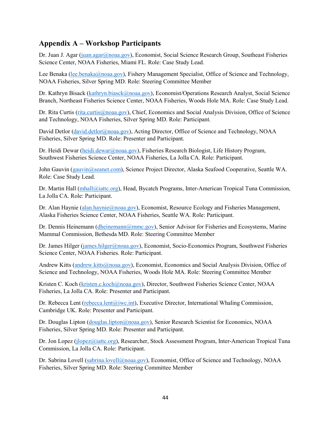#### <span id="page-49-0"></span>**Appendix A – Workshop Participants**

Dr. Juan J. Agar [\(juan.agar@noaa.gov\)](mailto:juan.agar@noaa.gov), Economist, Social Science Research Group, Southeast Fisheries Science Center, NOAA Fisheries, Miami FL. Role: Case Study Lead.

Lee Benaka [\(lee.benaka@noaa.gov\)](mailto:lee.benaka@noaa.gov), Fishery Management Specialist, Office of Science and Technology, NOAA Fisheries, Silver Spring MD. Role: Steering Committee Member

Dr. Kathryn Bisack [\(kathryn.biasck@noaa.gov\)](mailto:kathryn.biasck@noaa.gov), Economist/Operations Research Analyst, Social Science Branch, Northeast Fisheries Science Center, NOAA Fisheries, Woods Hole MA. Role: Case Study Lead.

Dr. Rita Curtis [\(rita.curtis@noaa.gov\)](mailto:rita.curtis@noaa.gov), Chief, Economics and Social Analysis Division, Office of Science and Technology, NOAA Fisheries, Silver Spring MD. Role: Participant.

David Detlor [\(david.detlor@noaa.gov\)](mailto:david.detlor@noaa.gov), Acting Director, Office of Science and Technology, NOAA Fisheries, Silver Spring MD. Role: Presenter and Participant.

Dr. Heidi Dewar [\(heidi.dewar@noaa.gov\)](mailto:heidi.dewar@noaa.gov), Fisheries Research Biologist, Life History Program, Southwest Fisheries Science Center, NOAA Fisheries, La Jolla CA. Role: Participant.

John Gauvin (gauvin @seanet.com), Science Project Director, Alaska Seafood Cooperative, Seattle WA. Role: Case Study Lead.

Dr. Martin Hall [\(mhall@iattc.org\)](mailto:mhall@iattc.org), Head, Bycatch Programs, Inter-American Tropical Tuna Commission, La Jolla CA. Role: Participant.

Dr. Alan Haynie [\(alan.haynie@noaa.gov\)](mailto:alan.haynie@noaa.gov), Economist, Resource Ecology and Fisheries Management, Alaska Fisheries Science Center, NOAA Fisheries, Seattle WA. Role: Participant.

Dr. Dennis Heinemann [\(dheinemann@mmc.gov\)](about:blank), Senior Advisor for Fisheries and Ecosystems, Marine Mammal Commission, Bethesda MD. Role: Steering Committee Member

Dr. James Hilger [\(james.hilger@noaa.gov\)](mailto:james.hilger@noaa.gov), Economist, Socio-Economics Program, Southwest Fisheries Science Center, NOAA Fisheries. Role: Participant.

Andrew Kitts [\(andrew.kitts@noaa.gov\)](mailto:andrew.kitts@noaa.gov), Economist, Economics and Social Analysis Division, Office of Science and Technology, NOAA Fisheries, Woods Hole MA. Role: Steering Committee Member

Kristen C. Koch [\(kristen.c.koch@noaa.gov\)](mailto:kristen.c.koch@noaa.gov), Director, Southwest Fisheries Science Center, NOAA Fisheries, La Jolla CA. Role: Presenter and Participant.

Dr. Rebecca Lent [\(rebecca.lent@iwc.int\)](mailto:rebecca.lent@iwc.int), Executive Director, International Whaling Commission, Cambridge UK. Role: Presenter and Participant.

Dr. Douglas Lipton [\(douglas.lipton@noaa.gov\)](mailto:douglas.lipton@noaa.gov), Senior Research Scientist for Economics, NOAA Fisheries, Silver Spring MD. Role: Presenter and Participant.

Dr. Jon Lopez (*jlopez@iattc.org*), Researcher, Stock Assessment Program, Inter-American Tropical Tuna Commission, La Jolla CA. Role: Participant.

Dr. Sabrina Lovell [\(sabrina.lovell@noaa.gov\)](mailto:Sabrina.lovell@noaa.gov), Economist, Office of Science and Technology, NOAA Fisheries, Silver Spring MD. Role: Steering Committee Member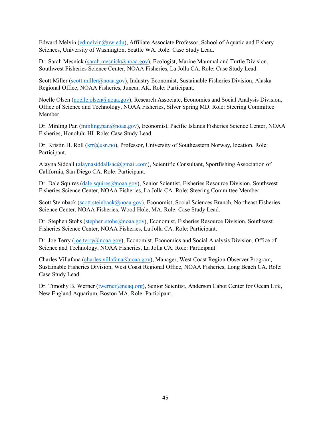Edward Melvin [\(edmelvin@uw.edu\)](mailto:edmelvin@uw.edu), Affiliate Associate Professor, School of Aquatic and Fishery Sciences, University of Washington, Seattle WA. Role: Case Study Lead.

Dr. Sarah Mesnick [\(sarah.mesnick@noaa.gov\)](mailto:sarah.mesnick@noaa.gov), Ecologist, Marine Mammal and Turtle Division, Southwest Fisheries Science Center, NOAA Fisheries, La Jolla CA. Role: Case Study Lead.

Scott Miller [\(scott.miller@noaa.gov\)](mailto:scott.miller@noaa.gov), Industry Economist, Sustainable Fisheries Division, Alaska Regional Office, NOAA Fisheries, Juneau AK. Role: Participant.

Noelle Olsen [\(noelle.olsen@noaa.gov\)](mailto:noelle.olsen@noaa.gov), Research Associate, Economics and Social Analysis Division, Office of Science and Technology, NOAA Fisheries, Silver Spring MD. Role: Steering Committee Member

Dr. Minling Pan [\(minling.pan@noaa.gov\)](mailto:minling.pan@noaa.gov), Economist, Pacific Islands Fisheries Science Center, NOAA Fisheries, Honolulu HI. Role: Case Study Lead.

Dr. Kristin H. Roll ( $\text{krr}$ @usn.no), Professor, University of Southeastern Norway, location. Role: Participant.

Alayna Siddall [\(alaynasiddallsac@gmail.com\)](mailto:alaynasiddallsac@gmail.com), Scientific Consultant, Sportfishing Association of California, San Diego CA. Role: Participant.

Dr. Dale Squires [\(dale.squires@noaa.gov\)](mailto:dale.squires@noaa.gov), Senior Scientist, Fisheries Resource Division, Southwest Fisheries Science Center, NOAA Fisheries, La Jolla CA. Role: Steering Committee Member

Scott Steinback [\(scott.steinback@noaa.gov\)](mailto:scott.steinback@noaa.gov), Economist, Social Sciences Branch, Northeast Fisheries Science Center, NOAA Fisheries, Wood Hole, MA. Role: Case Study Lead.

Dr. Stephen Stohs [\(stephen.stohs@noaa.gov\)](mailto:stephen.stohs@noaa.gov), Economist, Fisheries Resource Division, Southwest Fisheries Science Center, NOAA Fisheries, La Jolla CA. Role: Participant.

Dr. Joe Terry [\(joe.terry@noaa.gov\)](mailto:joe.terry@noaa.gov), Economist, Economics and Social Analysis Division, Office of Science and Technology, NOAA Fisheries, La Jolla CA. Role: Participant.

Charles Villafana [\(charles.villafana@noaa.gov\)](mailto:charles.villafana@noaa.gov), Manager, West Coast Region Observer Program, Sustainable Fisheries Division, West Coast Regional Office, NOAA Fisheries, Long Beach CA. Role: Case Study Lead.

Dr. Timothy B. Werner [\(twerner@neaq.org\)](mailto:twerner@neaq.org), Senior Scientist, Anderson Cabot Center for Ocean Life, New England Aquarium, Boston MA. Role: Participant.